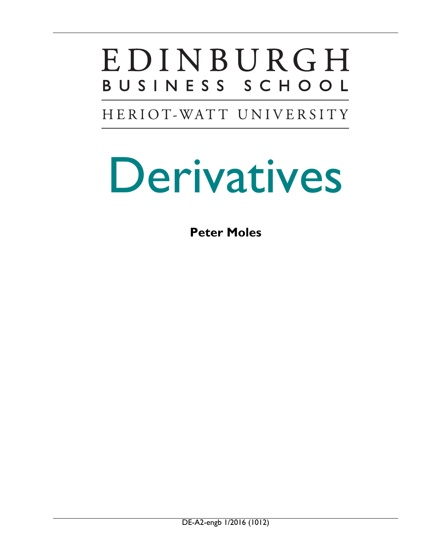## EDINBURGH BUSINESS SCHOOL

HERIOT-WATT UNIVERSITY

# Derivatives

**Peter Moles**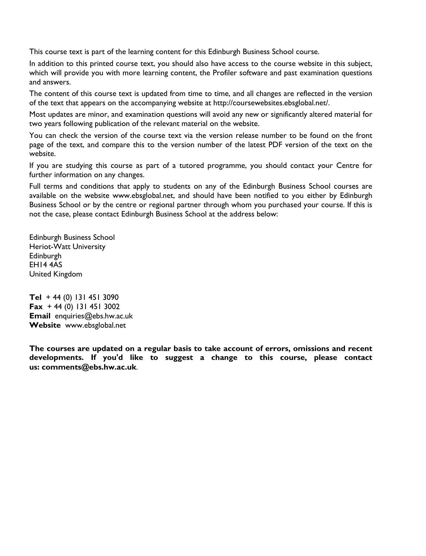This course text is part of the learning content for this Edinburgh Business School course.

In addition to this printed course text, you should also have access to the course website in this subject, which will provide you with more learning content, the Profiler software and past examination questions and answers.

The content of this course text is updated from time to time, and all changes are reflected in the version of the text that appears on the accompanying website at http://coursewebsites.ebsglobal.net/.

Most updates are minor, and examination questions will avoid any new or significantly altered material for two years following publication of the relevant material on the website.

You can check the version of the course text via the version release number to be found on the front page of the text, and compare this to the version number of the latest PDF version of the text on the website.

If you are studying this course as part of a tutored programme, you should contact your Centre for further information on any changes.

Full terms and conditions that apply to students on any of the Edinburgh Business School courses are available on the website www.ebsglobal.net, and should have been notified to you either by Edinburgh Business School or by the centre or regional partner through whom you purchased your course. If this is not the case, please contact Edinburgh Business School at the address below:

Edinburgh Business School Heriot-Watt University Edinburgh EH14 4AS United Kingdom

**Tel** + 44 (0) 131 451 3090 **Fax** + 44 (0) 131 451 3002 **Email** enquiries@ebs.hw.ac.uk **Website** [www.ebsglobal.net](http://www.ebsglobal.net/) 

**The courses are updated on a regular basis to take account of errors, omissions and recent developments. If you'd like to suggest a change to this course, please contact us: [comments@ebs.hw.ac.uk](mailto:comments@ebs.hw.ac.uk)**.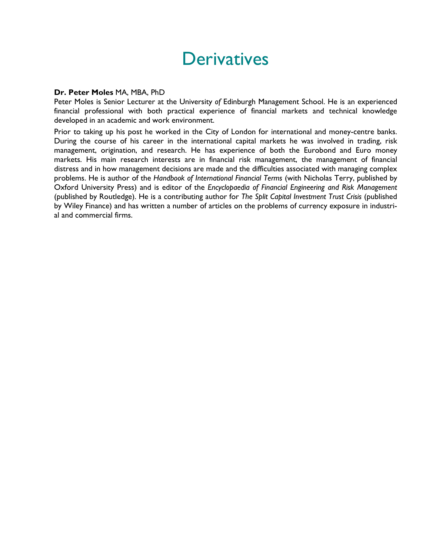## **Derivatives**

#### **Dr. Peter Moles** MA, MBA, PhD

Peter Moles is Senior Lecturer at the University *of* Edinburgh Management School. He is an experienced financial professional with both practical experience of financial markets and technical knowledge developed in an academic and work environment.

Prior to taking up his post he worked in the City of London for international and money-centre banks. During the course of his career in the international capital markets he was involved in trading, risk management, origination, and research. He has experience of both the Eurobond and Euro money markets. His main research interests are in financial risk management, the management of financial distress and in how management decisions are made and the difficulties associated with managing complex problems. He is author of the *Handbook of International Financial Terms* (with Nicholas Terry, published by Oxford University Press) and is editor of the *Encyclopaedia of Financial Engineering and Risk Management* (published by Routledge). He is a contributing author for *The Split Capital Investment Trust Crisis* (published by Wiley Finance) and has written a number of articles on the problems of currency exposure in industrial and commercial firms.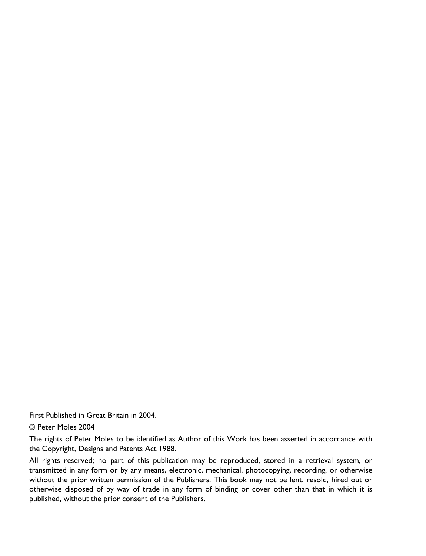First Published in Great Britain in 2004.

#### © Peter Moles 2004

The rights of Peter Moles to be identified as Author of this Work has been asserted in accordance with the Copyright, Designs and Patents Act 1988.

All rights reserved; no part of this publication may be reproduced, stored in a retrieval system, or transmitted in any form or by any means, electronic, mechanical, photocopying, recording, or otherwise without the prior written permission of the Publishers. This book may not be lent, resold, hired out or otherwise disposed of by way of trade in any form of binding or cover other than that in which it is published, without the prior consent of the Publishers.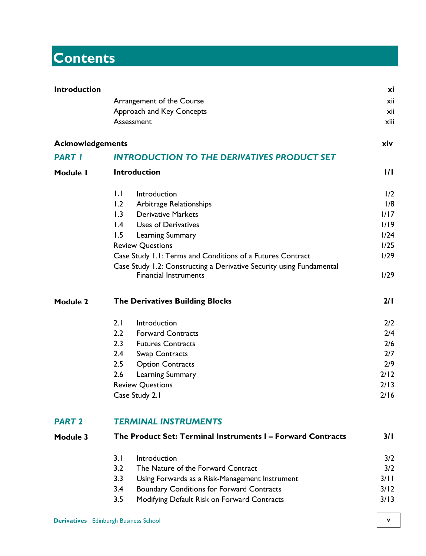## **Contents**

| <b>Introduction</b>     |                                                                                                      | хi    |  |  |
|-------------------------|------------------------------------------------------------------------------------------------------|-------|--|--|
|                         | Arrangement of the Course                                                                            | xii   |  |  |
|                         | Approach and Key Concepts                                                                            | xii   |  |  |
|                         | Assessment                                                                                           | xiii  |  |  |
| <b>Acknowledgements</b> |                                                                                                      | xiv   |  |  |
| <b>PART I</b>           | <b>INTRODUCTION TO THE DERIVATIVES PRODUCT SET</b>                                                   |       |  |  |
| Module I                | <b>Introduction</b>                                                                                  | 171   |  |  |
|                         | $\mathsf{L}$<br>Introduction                                                                         | 1/2   |  |  |
|                         | 1.2<br>Arbitrage Relationships                                                                       | 1/8   |  |  |
|                         | 1.3<br><b>Derivative Markets</b>                                                                     | 1/17  |  |  |
|                         | $\mathsf{I}$ .4<br>Uses of Derivatives                                                               | 1/19  |  |  |
|                         | 1.5<br>Learning Summary                                                                              | 1/24  |  |  |
|                         | <b>Review Questions</b>                                                                              | 1/25  |  |  |
|                         | Case Study 1.1: Terms and Conditions of a Futures Contract                                           |       |  |  |
|                         | Case Study 1.2: Constructing a Derivative Security using Fundamental<br><b>Financial Instruments</b> | 1/29  |  |  |
| Module 2                | <b>The Derivatives Building Blocks</b>                                                               |       |  |  |
|                         | 2.1<br>Introduction                                                                                  | 2/2   |  |  |
|                         | 2.2<br><b>Forward Contracts</b>                                                                      | 2/4   |  |  |
|                         | 2.3<br><b>Futures Contracts</b>                                                                      | 2/6   |  |  |
|                         | $2.4^{\circ}$<br>Swap Contracts                                                                      | 2/7   |  |  |
|                         | 2.5<br><b>Option Contracts</b>                                                                       | 2/9   |  |  |
|                         | 2.6<br><b>Learning Summary</b>                                                                       | 2/12  |  |  |
|                         | <b>Review Questions</b>                                                                              | 2/13  |  |  |
|                         | Case Study 2.1                                                                                       | 2/16  |  |  |
| <b>PART 2</b>           | <b>TERMINAL INSTRUMENTS</b>                                                                          |       |  |  |
| Module 3                | The Product Set: Terminal Instruments I - Forward Contracts                                          |       |  |  |
|                         | 3.1<br>Introduction                                                                                  | 3/2   |  |  |
|                         | 3.2<br>The Nature of the Forward Contract                                                            | 3/2   |  |  |
|                         | 3.3<br>Using Forwards as a Risk-Management Instrument                                                | 3/I I |  |  |

- 3.4 Boundary Conditions for Forward Contracts 3/12
- 3.5 Modifying Default Risk on Forward Contracts 3/13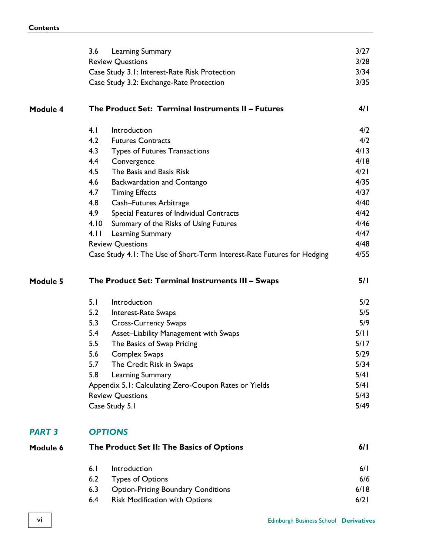|               | 3.6<br>Learning Summary                                                 | 3/27   |
|---------------|-------------------------------------------------------------------------|--------|
|               | <b>Review Questions</b>                                                 | 3/28   |
|               | Case Study 3.1: Interest-Rate Risk Protection                           | 3/34   |
|               | Case Study 3.2: Exchange-Rate Protection                                | 3/35   |
| Module 4      | The Product Set: Terminal Instruments II - Futures                      | 4/1    |
|               | 4. I<br>Introduction                                                    | 4/2    |
|               | 4.2<br><b>Futures Contracts</b>                                         | 4/2    |
|               | 4.3<br>Types of Futures Transactions                                    | 4/13   |
|               | 4.4<br>Convergence                                                      | 4/18   |
|               | 4.5<br>The Basis and Basis Risk                                         | 4/21   |
|               | 4.6<br>Backwardation and Contango                                       | 4/35   |
|               | 4.7<br><b>Timing Effects</b>                                            | 4/37   |
|               | 4.8<br>Cash-Futures Arbitrage                                           | 4/40   |
|               | 4.9<br>Special Features of Individual Contracts                         | 4/42   |
|               | 4.10<br>Summary of the Risks of Using Futures                           | 4/46   |
|               | 4.11<br>Learning Summary                                                | 4/47   |
|               | <b>Review Questions</b>                                                 | 4/48   |
|               | Case Study 4.1: The Use of Short-Term Interest-Rate Futures for Hedging | 4/55   |
| Module 5      | The Product Set: Terminal Instruments III - Swaps                       | 5/1    |
|               | 5.1<br>Introduction                                                     | 5/2    |
|               | 5.2<br>Interest-Rate Swaps                                              | 5/5    |
|               | 5.3<br><b>Cross-Currency Swaps</b>                                      | 5/9    |
|               | 5.4<br>Asset-Liability Management with Swaps                            | 5/ I I |
|               | 5.5<br>The Basics of Swap Pricing                                       | 5/17   |
|               | 5.6<br>Complex Swaps                                                    | 5/29   |
|               | 5.7<br>The Credit Risk in Swaps                                         | 5/34   |
|               | 5.8<br>Learning Summary                                                 | 5/41   |
|               | Appendix 5.1: Calculating Zero-Coupon Rates or Yields                   | 5/41   |
|               | <b>Review Questions</b>                                                 | 5/43   |
|               | Case Study 5.1                                                          | 5/49   |
| <b>PART 3</b> | <b>OPTIONS</b>                                                          |        |
| Module 6      | The Product Set II: The Basics of Options                               | 6/1    |
|               | 6.1<br>Introduction                                                     | 6/1    |
|               | 6.2<br><b>Types of Options</b>                                          | 6/6    |
|               | 6.3<br><b>Option-Pricing Boundary Conditions</b>                        | 6/18   |
|               | 6.4<br>Risk Modification with Options                                   | 6/21   |
|               |                                                                         |        |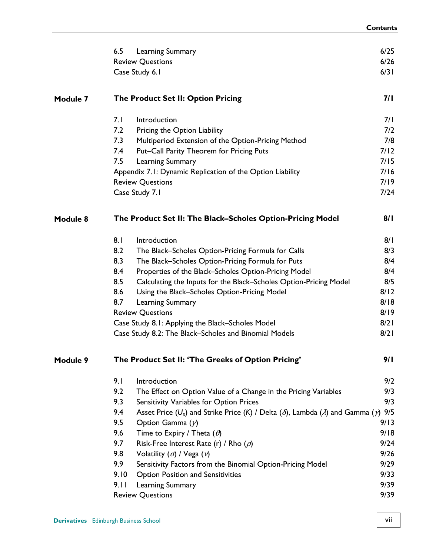|          | 6.5  | Learning Summary                                                                                                         | 6/25 |
|----------|------|--------------------------------------------------------------------------------------------------------------------------|------|
|          |      | <b>Review Questions</b>                                                                                                  | 6/26 |
|          |      | Case Study 6.1                                                                                                           | 6/31 |
| Module 7 |      | The Product Set II: Option Pricing                                                                                       | 7/ I |
|          | 7.1  | Introduction                                                                                                             | 7/1  |
|          | 7.2  | Pricing the Option Liability                                                                                             | 7/2  |
|          | 7.3  | Multiperiod Extension of the Option-Pricing Method                                                                       | 7/8  |
|          | 7.4  | Put-Call Parity Theorem for Pricing Puts                                                                                 | 7/12 |
|          | 7.5  | Learning Summary                                                                                                         | 7/15 |
|          |      | Appendix 7.1: Dynamic Replication of the Option Liability                                                                | 7/16 |
|          |      | <b>Review Questions</b>                                                                                                  | 7/19 |
|          |      | Case Study 7.1                                                                                                           | 7/24 |
| Module 8 |      | The Product Set II: The Black-Scholes Option-Pricing Model                                                               | 8/1  |
|          | 8.1  | Introduction                                                                                                             | 8/1  |
|          | 8.2  | The Black-Scholes Option-Pricing Formula for Calls                                                                       | 8/3  |
|          | 8.3  | The Black-Scholes Option-Pricing Formula for Puts                                                                        | 8/4  |
|          | 8.4  | Properties of the Black-Scholes Option-Pricing Model                                                                     | 8/4  |
|          | 8.5  | Calculating the Inputs for the Black-Scholes Option-Pricing Model                                                        | 8/5  |
|          | 8.6  | Using the Black-Scholes Option-Pricing Model                                                                             | 8/12 |
|          | 8.7  | Learning Summary                                                                                                         | 8/18 |
|          |      | <b>Review Questions</b>                                                                                                  | 8/19 |
|          |      | Case Study 8.1: Applying the Black-Scholes Model                                                                         | 8/21 |
|          |      | Case Study 8.2: The Black-Scholes and Binomial Models                                                                    | 8/21 |
| Module 9 |      | The Product Set II: 'The Greeks of Option Pricing'                                                                       | 9/1  |
|          | 9.1  | Introduction                                                                                                             | 9/2  |
|          | 9.2  | The Effect on Option Value of a Change in the Pricing Variables                                                          | 9/3  |
|          | 9.3  | Sensitivity Variables for Option Prices                                                                                  | 9/3  |
|          | 9.4  | Asset Price (U <sub>0</sub> ) and Strike Price (K) / Delta ( $\delta$ ), Lambda ( $\lambda$ ) and Gamma ( $\gamma$ ) 9/5 |      |
|          | 9.5  | Option Gamma $(y)$                                                                                                       | 9/13 |
|          | 9.6  | Time to Expiry / Theta $(\theta)$                                                                                        | 9/18 |
|          | 9.7  | Risk-Free Interest Rate (r) / Rho $(\rho)$                                                                               | 9/24 |
|          | 9.8  | Volatility $(\sigma)$ / Vega $(\nu)$                                                                                     | 9/26 |
|          | 9.9  | Sensitivity Factors from the Binomial Option-Pricing Model                                                               | 9/29 |
|          | 9.10 | Option Position and Sensitivities                                                                                        | 9/33 |
|          | 9.11 | Learning Summary                                                                                                         | 9/39 |
|          |      | <b>Review Questions</b>                                                                                                  | 9/39 |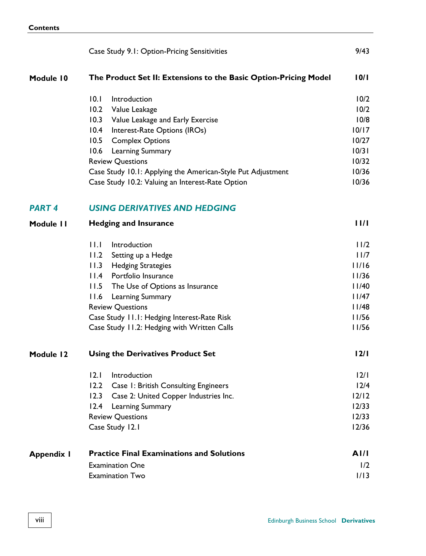|                   | Case Study 9.1: Option-Pricing Sensitivities                     | 9/43    |  |  |
|-------------------|------------------------------------------------------------------|---------|--|--|
| Module 10         | The Product Set II: Extensions to the Basic Option-Pricing Model | 10/1    |  |  |
|                   | 10.1<br>Introduction                                             | 10/2    |  |  |
|                   | 10.2<br>Value Leakage                                            | 10/2    |  |  |
|                   | 10.3<br>Value Leakage and Early Exercise                         | 10/8    |  |  |
|                   | 10.4<br>Interest-Rate Options (IROs)                             | 10/17   |  |  |
|                   | 10.5<br><b>Complex Options</b>                                   | 10/27   |  |  |
|                   | 10.6<br>Learning Summary                                         | 10/31   |  |  |
|                   | <b>Review Questions</b>                                          | 10/32   |  |  |
|                   | Case Study 10.1: Applying the American-Style Put Adjustment      | 10/36   |  |  |
|                   | Case Study 10.2: Valuing an Interest-Rate Option                 | 10/36   |  |  |
| <b>PART 4</b>     | <b>USING DERIVATIVES AND HEDGING</b>                             |         |  |  |
| Module II         | <b>Hedging and Insurance</b>                                     |         |  |  |
|                   | 11.1<br>Introduction                                             | 11/2    |  |  |
|                   | 11.2<br>Setting up a Hedge                                       | 11/7    |  |  |
|                   | 11.3<br><b>Hedging Strategies</b>                                | 11/16   |  |  |
|                   | 11.4<br>Portfolio Insurance                                      | 11/36   |  |  |
|                   | 11.5<br>The Use of Options as Insurance                          | 11/40   |  |  |
|                   | 11.6<br>Learning Summary                                         | 11/47   |  |  |
|                   | <b>Review Questions</b>                                          | 11/48   |  |  |
|                   | Case Study 11.1: Hedging Interest-Rate Risk                      | 11/56   |  |  |
|                   | Case Study 11.2: Hedging with Written Calls                      | 11/56   |  |  |
| Module 12         | <b>Using the Derivatives Product Set</b>                         | 12/1    |  |  |
|                   | 12.1<br>Introduction                                             | 12/1    |  |  |
|                   | 12.2<br>Case I: British Consulting Engineers                     | 12/4    |  |  |
|                   | 12.3 Case 2: United Copper Industries Inc.                       | $12/12$ |  |  |
|                   | 12.4<br>Learning Summary                                         | 12/33   |  |  |
|                   | <b>Review Questions</b>                                          | 12/33   |  |  |
|                   | Case Study 12.1                                                  | 12/36   |  |  |
| <b>Appendix I</b> | <b>Practice Final Examinations and Solutions</b>                 | AI/I    |  |  |
|                   | <b>Examination One</b>                                           | 1/2     |  |  |
|                   | <b>Examination Two</b>                                           | 1/13    |  |  |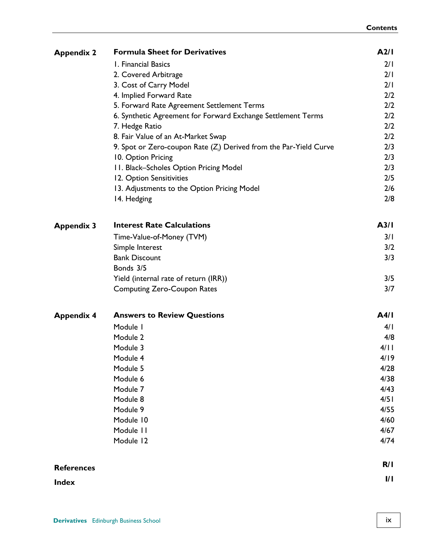| <b>Appendix 2</b> | <b>Formula Sheet for Derivatives</b>                                 | A2/I              |
|-------------------|----------------------------------------------------------------------|-------------------|
|                   | I. Financial Basics                                                  | 2/1               |
|                   | 2. Covered Arbitrage                                                 | 2/1               |
|                   | 3. Cost of Carry Model                                               | 2/1               |
|                   | 4. Implied Forward Rate                                              | 2/2               |
|                   | 5. Forward Rate Agreement Settlement Terms                           | 2/2               |
|                   | 6. Synthetic Agreement for Forward Exchange Settlement Terms         | 2/2               |
|                   | 7. Hedge Ratio                                                       | 2/2               |
|                   | 8. Fair Value of an At-Market Swap                                   | 2/2               |
|                   | 9. Spot or Zero-coupon Rate $(Z_i)$ Derived from the Par-Yield Curve | 2/3               |
|                   | 10. Option Pricing                                                   | 2/3               |
|                   | 11. Black-Scholes Option Pricing Model                               | 2/3               |
|                   | 12. Option Sensitivities                                             | 2/5               |
|                   | 13. Adjustments to the Option Pricing Model                          | 2/6               |
|                   | 14. Hedging                                                          | 2/8               |
| <b>Appendix 3</b> | <b>Interest Rate Calculations</b>                                    | A <sub>3</sub> /I |
|                   | Time-Value-of-Money (TVM)                                            | 3/1               |
|                   | Simple Interest                                                      | 3/2               |
|                   | <b>Bank Discount</b>                                                 | 3/3               |
|                   | Bonds 3/5                                                            |                   |
|                   | Yield (internal rate of return (IRR))                                | 3/5               |
|                   | <b>Computing Zero-Coupon Rates</b>                                   | 3/7               |
| <b>Appendix 4</b> | <b>Answers to Review Questions</b>                                   | A4/I              |
|                   | Module I                                                             | 4/1               |
|                   | Module 2                                                             | 4/8               |
|                   | Module 3                                                             | 4/11              |
|                   | Module 4                                                             | 4/19              |
|                   | Module 5                                                             | 4/28              |
|                   | Module 6                                                             | 4/38              |
|                   | Module 7                                                             | 4/43              |
|                   | Module 8                                                             | 4/51              |
|                   | Module 9                                                             | 4/55              |
|                   | Module 10                                                            | 4/60              |
|                   | Module 11                                                            | 4/67              |
|                   | Module 12                                                            | 4/74              |
| <b>References</b> |                                                                      | R/I               |
| <b>Index</b>      |                                                                      | I/I               |
|                   |                                                                      |                   |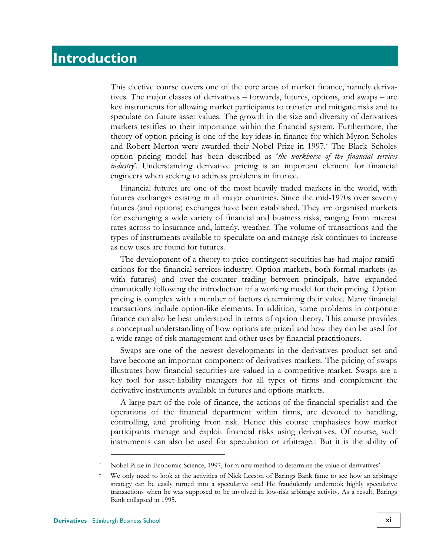### **Introduction**

This elective course covers one of the core areas of market finance, namely derivatives. The major classes of derivatives – forwards, futures, options, and swaps – are key instruments for allowing market participants to transfer and mitigate risks and to speculate on future asset values. The growth in the size and diversity of derivatives markets testifies to their importance within the financial system. Furthermore, the theory of option pricing is one of the key ideas in finance for which Myron Scholes and Robert Merton were awarded their Nobel Prize in 1997.\* The Black–Scholes option pricing model has been described as '*the workhorse of the financial services industry*'. Understanding derivative pricing is an important element for financial engineers when seeking to address problems in finance.

Financial futures are one of the most heavily traded markets in the world, with futures exchanges existing in all major countries. Since the mid-1970s over seventy futures (and options) exchanges have been established. They are organised markets for exchanging a wide variety of financial and business risks, ranging from interest rates across to insurance and, latterly, weather. The volume of transactions and the types of instruments available to speculate on and manage risk continues to increase as new uses are found for futures.

The development of a theory to price contingent securities has had major ramifications for the financial services industry. Option markets, both formal markets (as with futures) and over-the-counter trading between principals, have expanded dramatically following the introduction of a working model for their pricing. Option pricing is complex with a number of factors determining their value. Many financial transactions include option-like elements. In addition, some problems in corporate finance can also be best understood in terms of option theory. This course provides a conceptual understanding of how options are priced and how they can be used for a wide range of risk management and other uses by financial practitioners.

Swaps are one of the newest developments in the derivatives product set and have become an important component of derivatives markets. The pricing of swaps illustrates how financial securities are valued in a competitive market. Swaps are a key tool for asset-liability managers for all types of firms and complement the derivative instruments available in futures and options markets.

A large part of the role of finance, the actions of the financial specialist and the operations of the financial department within firms, are devoted to handling, controlling, and profiting from risk. Hence this course emphasises how market participants manage and exploit financial risks using derivatives. Of course, such instruments can also be used for speculation or arbitrage.† But it is the ability of

 $\overline{a}$ 

Nobel Prize in Economic Science, 1997, for 'a new method to determine the value of derivatives'

<sup>†</sup> We only need to look at the activities of Nick Leeson of Barings Bank fame to see how an arbitrage strategy can be easily turned into a speculative one! He fraudulently undertook highly speculative transactions when he was supposed to be involved in low-risk arbitrage activity. As a result, Barings Bank collapsed in 1995.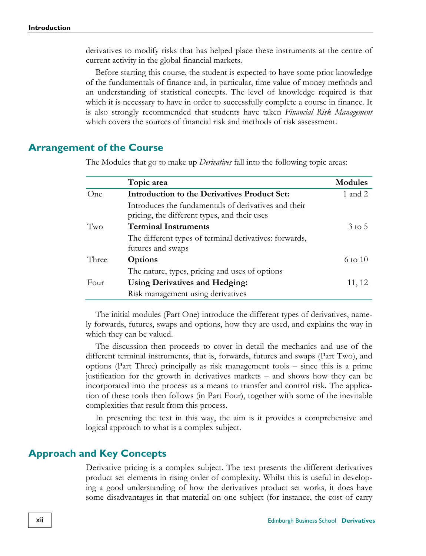derivatives to modify risks that has helped place these instruments at the centre of current activity in the global financial markets.

Before starting this course, the student is expected to have some prior knowledge of the fundamentals of finance and, in particular, time value of money methods and an understanding of statistical concepts. The level of knowledge required is that which it is necessary to have in order to successfully complete a course in finance. It is also strongly recommended that students have taken *Financial Risk Management* which covers the sources of financial risk and methods of risk assessment.

#### **Arrangement of the Course**

|       | Topic area                                                                                           | <b>Modules</b>     |
|-------|------------------------------------------------------------------------------------------------------|--------------------|
| One   | Introduction to the Derivatives Product Set:                                                         | 1 and 2            |
|       | Introduces the fundamentals of derivatives and their<br>pricing, the different types, and their uses |                    |
| Two   | <b>Terminal Instruments</b>                                                                          | $3 \text{ to } 5$  |
|       | The different types of terminal derivatives: forwards,<br>futures and swaps                          |                    |
| Three | <b>Options</b>                                                                                       | $6 \text{ to } 10$ |
|       | The nature, types, pricing and uses of options                                                       |                    |
| Four  | <b>Using Derivatives and Hedging:</b>                                                                | 11, 12             |
|       | Risk management using derivatives                                                                    |                    |

The Modules that go to make up *Derivatives* fall into the following topic areas:

The initial modules (Part One) introduce the different types of derivatives, namely forwards, futures, swaps and options, how they are used, and explains the way in which they can be valued.

The discussion then proceeds to cover in detail the mechanics and use of the different terminal instruments, that is, forwards, futures and swaps (Part Two), and options (Part Three) principally as risk management tools – since this is a prime justification for the growth in derivatives markets – and shows how they can be incorporated into the process as a means to transfer and control risk. The application of these tools then follows (in Part Four), together with some of the inevitable complexities that result from this process.

In presenting the text in this way, the aim is it provides a comprehensive and logical approach to what is a complex subject.

#### **Approach and Key Concepts**

Derivative pricing is a complex subject. The text presents the different derivatives product set elements in rising order of complexity. Whilst this is useful in developing a good understanding of how the derivatives product set works, it does have some disadvantages in that material on one subject (for instance, the cost of carry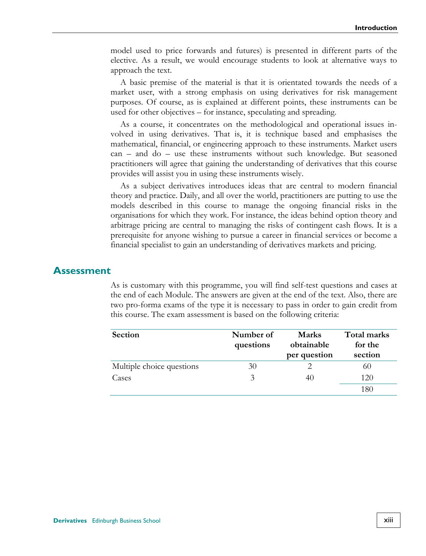model used to price forwards and futures) is presented in different parts of the elective. As a result, we would encourage students to look at alternative ways to approach the text.

A basic premise of the material is that it is orientated towards the needs of a market user, with a strong emphasis on using derivatives for risk management purposes. Of course, as is explained at different points, these instruments can be used for other objectives – for instance, speculating and spreading.

As a course, it concentrates on the methodological and operational issues involved in using derivatives. That is, it is technique based and emphasises the mathematical, financial, or engineering approach to these instruments. Market users can – and do – use these instruments without such knowledge. But seasoned practitioners will agree that gaining the understanding of derivatives that this course provides will assist you in using these instruments wisely.

As a subject derivatives introduces ideas that are central to modern financial theory and practice. Daily, and all over the world, practitioners are putting to use the models described in this course to manage the ongoing financial risks in the organisations for which they work. For instance, the ideas behind option theory and arbitrage pricing are central to managing the risks of contingent cash flows. It is a prerequisite for anyone wishing to pursue a career in financial services or become a financial specialist to gain an understanding of derivatives markets and pricing.

#### **Assessment**

As is customary with this programme, you will find self-test questions and cases at the end of each Module. The answers are given at the end of the text. Also, there are two pro-forma exams of the type it is necessary to pass in order to gain credit from this course. The exam assessment is based on the following criteria:

| <b>Section</b>            | Number of<br>questions | <b>Marks</b><br>obtainable<br>per question | Total marks<br>for the<br>section |
|---------------------------|------------------------|--------------------------------------------|-----------------------------------|
| Multiple choice questions | 30                     |                                            | 60                                |
| Cases                     |                        | 40                                         | 120                               |
|                           |                        |                                            | 186                               |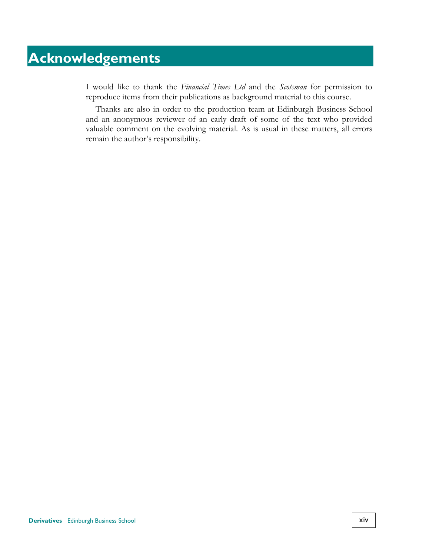## **Acknowledgements**

I would like to thank the *Financial Times Ltd* and the *Scotsman* for permission to reproduce items from their publications as background material to this course.

Thanks are also in order to the production team at Edinburgh Business School and an anonymous reviewer of an early draft of some of the text who provided valuable comment on the evolving material. As is usual in these matters, all errors remain the author's responsibility.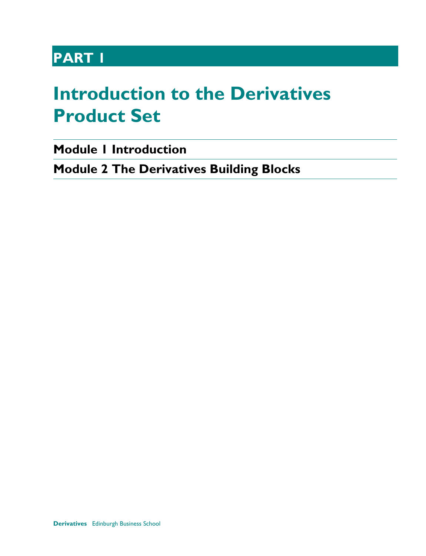## **PART 1**

## <span id="page-14-0"></span>**Introduction to the Derivatives Product Set**

**[Module 1](#page-16-0) [Introduction](#page-16-1)** 

**Module 2 The Derivatives Building Blocks**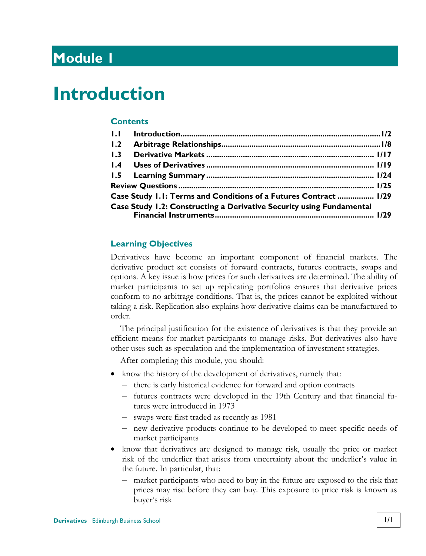## <span id="page-16-0"></span>**Module 1**

## <span id="page-16-1"></span>**Introduction**

#### **Contents**

| 1.2 |                                                                      |  |
|-----|----------------------------------------------------------------------|--|
| 1.3 |                                                                      |  |
|     |                                                                      |  |
|     |                                                                      |  |
|     |                                                                      |  |
|     | Case Study 1.1: Terms and Conditions of a Futures Contract  1/29     |  |
|     | Case Study 1.2: Constructing a Derivative Security using Fundamental |  |
|     |                                                                      |  |

#### **Learning Objectives**

Derivatives have become an important component of financial markets. The derivative product set consists of forward contracts, futures contracts, swaps and options. A key issue is how prices for such derivatives are determined. The ability of market participants to set up replicating portfolios ensures that derivative prices conform to no-arbitrage conditions. That is, the prices cannot be exploited without taking a risk. Replication also explains how derivative claims can be manufactured to order.

The principal justification for the existence of derivatives is that they provide an efficient means for market participants to manage risks. But derivatives also have other uses such as speculation and the implementation of investment strategies.

After completing this module, you should:

- know the history of the development of derivatives, namely that:
	- there is early historical evidence for forward and option contracts
	- futures contracts were developed in the 19th Century and that financial futures were introduced in 1973
	- swaps were first traded as recently as 1981
	- new derivative products continue to be developed to meet specific needs of market participants
- know that derivatives are designed to manage risk, usually the price or market risk of the underlier that arises from uncertainty about the underlier's value in the future. In particular, that:
	- market participants who need to buy in the future are exposed to the risk that prices may rise before they can buy. This exposure to price risk is known as buyer's risk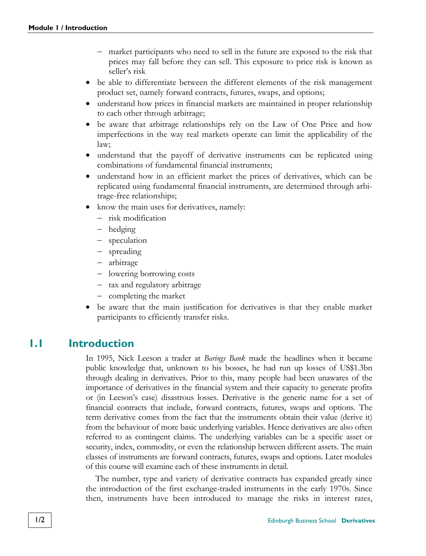- market participants who need to sell in the future are exposed to the risk that prices may fall before they can sell. This exposure to price risk is known as seller's risk
- be able to differentiate between the different elements of the risk management product set, namely forward contracts, futures, swaps, and options;
- understand how prices in financial markets are maintained in proper relationship to each other through arbitrage;
- be aware that arbitrage relationships rely on the Law of One Price and how imperfections in the way real markets operate can limit the applicability of the law;
- understand that the payoff of derivative instruments can be replicated using combinations of fundamental financial instruments;
- understand how in an efficient market the prices of derivatives, which can be replicated using fundamental financial instruments, are determined through arbitrage-free relationships;
- know the main uses for derivatives, namely:
	- risk modification
	- hedging
	- speculation
	- spreading
	- arbitrage
	- lowering borrowing costs
	- tax and regulatory arbitrage
	- completing the market
- be aware that the main justification for derivatives is that they enable market participants to efficiently transfer risks.

#### **1.1 Introduction**

In 1995, Nick Leeson a trader at *Barings Bank* made the headlines when it became public knowledge that, unknown to his bosses, he had run up losses of US\$1.3bn through dealing in derivatives. Prior to this, many people had been unawares of the importance of derivatives in the financial system and their capacity to generate profits or (in Leeson's case) disastrous losses. Derivative is the generic name for a set of financial contracts that include, forward contracts, futures, swaps and options. The term derivative comes from the fact that the instruments obtain their value (derive it) from the behaviour of more basic underlying variables. Hence derivatives are also often referred to as contingent claims. The underlying variables can be a specific asset or security, index, commodity, or even the relationship between different assets. The main classes of instruments are forward contracts, futures, swaps and options. Later modules of this course will examine each of these instruments in detail.

The number, type and variety of derivative contracts has expanded greatly since the introduction of the first exchange-traded instruments in the early 1970s. Since then, instruments have been introduced to manage the risks in interest rates,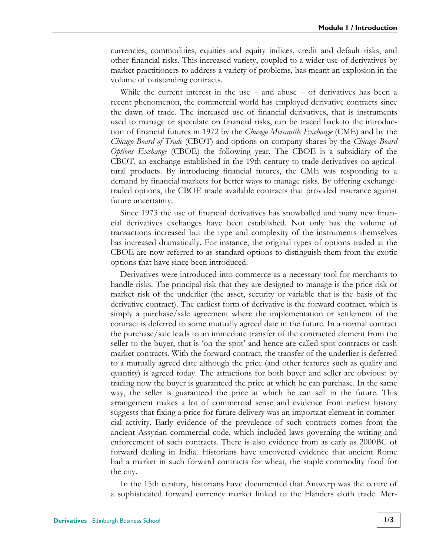currencies, commodities, equities and equity indices, credit and default risks, and other financial risks. This increased variety, coupled to a wider use of derivatives by market practitioners to address a variety of problems, has meant an explosion in the volume of outstanding contracts.

While the current interest in the use  $-$  and abuse  $-$  of derivatives has been a recent phenomenon, the commercial world has employed derivative contracts since the dawn of trade. The increased use of financial derivatives, that is instruments used to manage or speculate on financial risks, can be traced back to the introduction of financial futures in 1972 by the *[Chicago Mercantile Exchange](#page-44-0)* (CME) and by the *[Chicago Board of Trade](#page-44-1)* (CBOT) and options on company shares by the *Chicago Board Options Exchange* (CBOE) the following year. The CBOE is a subsidiary of the CBOT, an exchange established in the 19th century to trade derivatives on agricultural products. By introducing financial futures, the CME was responding to a demand by financial markets for better ways to manage risks. By offering exchangetraded options, the CBOE made available contracts that provided insurance against future uncertainty.

Since 1973 the use of financial derivatives has snowballed and many new financial derivatives exchanges have been established. Not only has the volume of transactions increased but the type and complexity of the instruments themselves has increased dramatically. For instance, the original types of options traded at the CBOE are now referred to as standard options to distinguish them from the exotic options that have since been introduced.

Derivatives were introduced into commerce as a necessary tool for merchants to handle risks. The principal risk that they are designed to manage is the price risk or market risk of the underlier (the asset, security or variable that is the basis of the derivative contract). The earliest form of derivative is the forward contract, which is simply a purchase/sale agreement where the implementation or settlement of the contract is deferred to some mutually agreed date in the future. In a normal contract the purchase/sale leads to an immediate transfer of the contracted element from the seller to the buyer, that is 'on the spot' and hence are called spot contracts or cash market contracts. With the forward contract, the transfer of the underlier is deferred to a mutually agreed date although the price (and other features such as quality and quantity) is agreed today. The attractions for both buyer and seller are obvious: by trading now the buyer is guaranteed the price at which he can purchase. In the same way, the seller is guaranteed the price at which he can sell in the future. This arrangement makes a lot of commercial sense and evidence from earliest history suggests that fixing a price for future delivery was an important element in commercial activity. Early evidence of the prevalence of such contracts comes from the ancient Assyrian commercial code, which included laws governing the writing and enforcement of such contracts. There is also evidence from as early as 2000BC of forward dealing in India. Historians have uncovered evidence that ancient Rome had a market in such forward contracts for wheat, the staple commodity food for the city.

In the 15th century, historians have documented that Antwerp was the centre of a sophisticated forward currency market linked to the Flanders cloth trade. Mer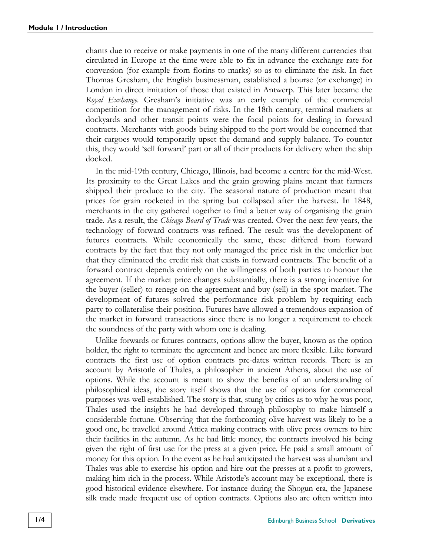chants due to receive or make payments in one of the many different currencies that circulated in Europe at the time were able to fix in advance the exchange rate for conversion (for example from florins to marks) so as to eliminate the risk. In fact Thomas Gresham, the English businessman, established a bourse (or exchange) in London in direct imitation of those that existed in Antwerp. This later became the *Royal Exchange*. Gresham's initiative was an early example of the commercial competition for the management of risks. In the 18th century, terminal markets at dockyards and other transit points were the focal points for dealing in forward contracts. Merchants with goods being shipped to the port would be concerned that their cargoes would temporarily upset the demand and supply balance. To counter this, they would 'sell forward' part or all of their products for delivery when the ship docked.

In the mid-19th century, Chicago, Illinois, had become a centre for the mid-West. Its proximity to the Great Lakes and the grain growing plains meant that farmers shipped their produce to the city. The seasonal nature of production meant that prices for grain rocketed in the spring but collapsed after the harvest. In 1848, merchants in the city gathered together to find a better way of organising the grain trade. As a result, the *Chicago Board of Trade* was created. Over the next few years, the technology of forward contracts was refined. The result was the development of futures contracts. While economically the same, these differed from forward contracts by the fact that they not only managed the price risk in the underlier but that they eliminated the credit risk that exists in forward contracts. The benefit of a forward contract depends entirely on the willingness of both parties to honour the agreement. If the market price changes substantially, there is a strong incentive for the buyer (seller) to renege on the agreement and buy (sell) in the spot market. The development of futures solved the performance risk problem by requiring each party to collateralise their position. Futures have allowed a tremendous expansion of the market in forward transactions since there is no longer a requirement to check the soundness of the party with whom one is dealing.

Unlike forwards or futures contracts, options allow the buyer, known as the option holder, the right to terminate the agreement and hence are more flexible. Like forward contracts the first use of option contracts pre-dates written records. There is an account by Aristotle of Thales, a philosopher in ancient Athens, about the use of options. While the account is meant to show the benefits of an understanding of philosophical ideas, the story itself shows that the use of options for commercial purposes was well established. The story is that, stung by critics as to why he was poor, Thales used the insights he had developed through philosophy to make himself a considerable fortune. Observing that the forthcoming olive harvest was likely to be a good one, he travelled around Attica making contracts with olive press owners to hire their facilities in the autumn. As he had little money, the contracts involved his being given the right of first use for the press at a given price. He paid a small amount of money for this option. In the event as he had anticipated the harvest was abundant and Thales was able to exercise his option and hire out the presses at a profit to growers, making him rich in the process. While Aristotle's account may be exceptional, there is good historical evidence elsewhere. For instance during the Shogun era, the Japanese silk trade made frequent use of option contracts. Options also are often written into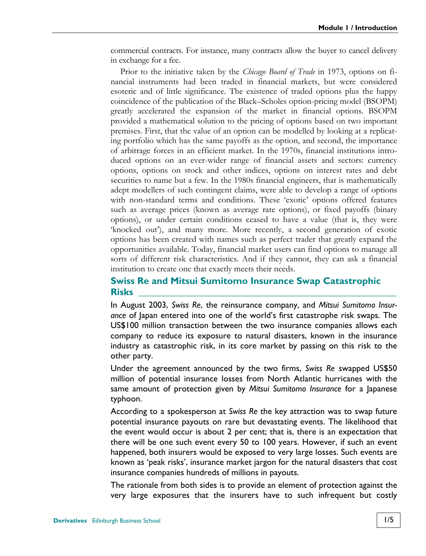commercial contracts. For instance, many contracts allow the buyer to cancel delivery in exchange for a fee.

Prior to the initiative taken by the *[Chicago Board of Trade](#page-44-1)* in 1973, options on financial instruments had been traded in financial markets, but were considered esoteric and of little significance. The existence of traded options plus the happy coincidence of the publication of the Black–Scholes option-pricing model (BSOPM) greatly accelerated the expansion of the market in financial options. BSOPM provided a mathematical solution to the pricing of options based on two important premises. First, that the value of an option can be modelled by looking at a replicating portfolio which has the same payoffs as the option, and second, the importance of arbitrage forces in an efficient market. In the 1970s, financial institutions introduced options on an ever-wider range of financial assets and sectors: currency options, options on stock and other indices, options on interest rates and debt securities to name but a few. In the 1980s financial engineers, that is mathematically adept modellers of such contingent claims, were able to develop a range of options with non-standard terms and conditions. These 'exotic' options offered features such as average prices (known as average rate options), or fixed payoffs (binary options), or under certain conditions ceased to have a value (that is, they were 'knocked out'), and many more. More recently, a second generation of exotic options has been created with names such as perfect trader that greatly expand the opportunities available. Today, financial market users can find options to manage all sorts of different risk characteristics. And if they cannot, they can ask a financial institution to create one that exactly meets their needs.

#### **Swiss Re and Mitsui Sumitomo Insurance Swap Catastrophic Risks \_\_\_\_\_\_\_\_\_\_\_\_\_\_\_\_\_\_\_\_\_\_\_\_\_\_\_\_\_\_\_\_\_\_\_\_\_\_\_\_\_\_\_\_\_\_\_\_\_\_\_\_\_\_**

In August 2003, *Swiss Re*, the reinsurance company, and *Mitsui Sumitomo Insurance* of Japan entered into one of the world's first catastrophe risk swaps. The US\$100 million transaction between the two insurance companies allows each company to reduce its exposure to natural disasters, known in the insurance industry as catastrophic risk, in its core market by passing on this risk to the other party.

Under the agreement announced by the two firms, *Swiss Re* swapped US\$50 million of potential insurance losses from North Atlantic hurricanes with the same amount of protection given by *Mitsui Sumitomo Insurance* for a Japanese typhoon.

According to a spokesperson at *Swiss Re* the key attraction was to swap future potential insurance payouts on rare but devastating events. The likelihood that the event would occur is about 2 per cent; that is, there is an expectation that there will be one such event every 50 to 100 years. However, if such an event happened, both insurers would be exposed to very large losses. Such events are known as 'peak risks', insurance market jargon for the natural disasters that cost insurance companies hundreds of millions in payouts.

The rationale from both sides is to provide an element of protection against the very large exposures that the insurers have to such infrequent but costly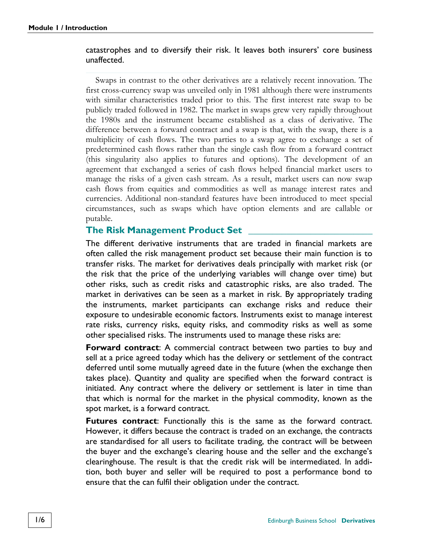#### catastrophes and to diversify their risk. It leaves both insurers' core business unaffected.

Swaps in contrast to the other derivatives are a relatively recent innovation. The first cross-currency swap was unveiled only in 1981 although there were instruments with similar characteristics traded prior to this. The first interest rate swap to be publicly traded followed in 1982. The market in swaps grew very rapidly throughout the 1980s and the instrument became established as a class of derivative. The difference between a forward contract and a swap is that, with the swap, there is a multiplicity of cash flows. The two parties to a swap agree to exchange a set of predetermined cash flows rather than the single cash flow from a forward contract (this singularity also applies to futures and options). The development of an agreement that exchanged a series of cash flows helped financial market users to manage the risks of a given cash stream. As a result, market users can now swap cash flows from equities and commodities as well as manage interest rates and currencies. Additional non-standard features have been introduced to meet special circumstances, such as swaps which have option elements and are callable or putable.

#### **The Risk Management Product Set**

The different derivative instruments that are traded in financial markets are often called the risk management product set because their main function is to transfer risks. The market for derivatives deals principally with market risk (or the risk that the price of the underlying variables will change over time) but other risks, such as credit risks and catastrophic risks, are also traded. The market in derivatives can be seen as a market in risk. By appropriately trading the instruments, market participants can exchange risks and reduce their exposure to undesirable economic factors. Instruments exist to manage interest rate risks, currency risks, equity risks, and commodity risks as well as some other specialised risks. The instruments used to manage these risks are:

**Forward contract**: A commercial contract between two parties to buy and sell at a price agreed today which has the delivery or settlement of the contract deferred until some mutually agreed date in the future (when the exchange then takes place). Quantity and quality are specified when the forward contract is initiated. Any contract where the delivery or settlement is later in time than that which is normal for the market in the physical commodity, known as the spot market, is a forward contract.

**Futures contract**: Functionally this is the same as the forward contract. However, it differs because the contract is traded on an exchange, the contracts are standardised for all users to facilitate trading, the contract will be between the buyer and the exchange's clearing house and the seller and the exchange's clearinghouse. The result is that the credit risk will be intermediated. In addition, both buyer and seller will be required to post a performance bond to ensure that the can fulfil their obligation under the contract.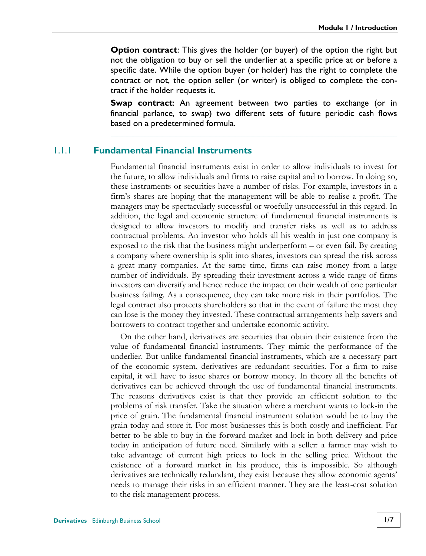**Option contract**: This gives the holder (or buyer) of the option the right but not the obligation to buy or sell the underlier at a specific price at or before a specific date. While the option buyer (or holder) has the right to complete the contract or not, the option seller (or writer) is obliged to complete the contract if the holder requests it.

**Swap contract**: An agreement between two parties to exchange (or in financial parlance, to swap) two different sets of future periodic cash flows based on a predetermined formula.

#### 1.1.1 **Fundamental Financial Instruments**

Fundamental financial instruments exist in order to allow individuals to invest for the future, to allow individuals and firms to raise capital and to borrow. In doing so, these instruments or securities have a number of risks. For example, investors in a firm's shares are hoping that the management will be able to realise a profit. The managers may be spectacularly successful or woefully unsuccessful in this regard. In addition, the legal and economic structure of fundamental financial instruments is designed to allow investors to modify and transfer risks as well as to address contractual problems. An investor who holds all his wealth in just one company is exposed to the risk that the business might underperform – or even fail. By creating a company where ownership is split into shares, investors can spread the risk across a great many companies. At the same time, firms can raise money from a large number of individuals. By spreading their investment across a wide range of firms investors can diversify and hence reduce the impact on their wealth of one particular business failing. As a consequence, they can take more risk in their portfolios. The legal contract also protects shareholders so that in the event of failure the most they can lose is the money they invested. These contractual arrangements help savers and borrowers to contract together and undertake economic activity.

On the other hand, derivatives are securities that obtain their existence from the value of fundamental financial instruments. They mimic the performance of the underlier. But unlike fundamental financial instruments, which are a necessary part of the economic system, derivatives are redundant securities. For a firm to raise capital, it will have to issue shares or borrow money. In theory all the benefits of derivatives can be achieved through the use of fundamental financial instruments. The reasons derivatives exist is that they provide an efficient solution to the problems of risk transfer. Take the situation where a merchant wants to lock-in the price of grain. The fundamental financial instrument solution would be to buy the grain today and store it. For most businesses this is both costly and inefficient. Far better to be able to buy in the forward market and lock in both delivery and price today in anticipation of future need. Similarly with a seller: a farmer may wish to take advantage of current high prices to lock in the selling price. Without the existence of a forward market in his produce, this is impossible. So although derivatives are technically redundant, they exist because they allow economic agents' needs to manage their risks in an efficient manner. They are the least-cost solution to the risk management process.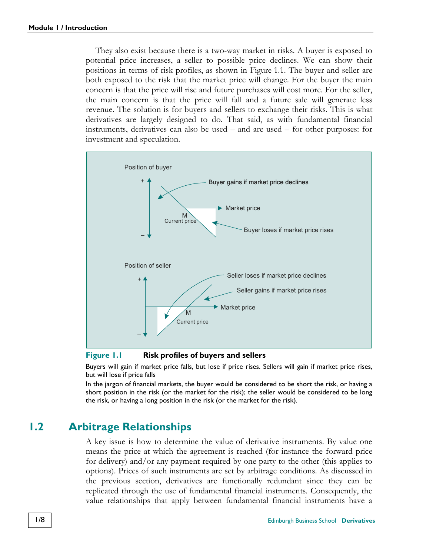They also exist because there is a two-way market in risks. A buyer is exposed to potential price increases, a seller to possible price declines. We can show their positions in terms of risk profiles, as shown in [Figure 1.1.](#page-23-0) The buyer and seller are both exposed to the risk that the market price will change. For the buyer the main concern is that the price will rise and future purchases will cost more. For the seller, the main concern is that the price will fall and a future sale will generate less revenue. The solution is for buyers and sellers to exchange their risks. This is what derivatives are largely designed to do. That said, as with fundamental financial instruments, derivatives can also be used – and are used – for other purposes: for investment and speculation.



<span id="page-23-0"></span>**Figure 1.1 Risk profiles of buyers and sellers** 

Buyers will gain if market price falls, but lose if price rises. Sellers will gain if market price rises, but will lose if price falls

<span id="page-23-1"></span>In the jargon of financial markets, the buyer would be considered to be short the risk, or having a short position in the risk (or the market for the risk); the seller would be considered to be long the risk, or having a long position in the risk (or the market for the risk).

#### **1.2 Arbitrage Relationships**

A key issue is how to determine the value of derivative instruments. By value one means the price at which the agreement is reached (for instance the forward price for delivery) and/or any payment required by one party to the other (this applies to options). Prices of such instruments are set by arbitrage conditions. As discussed in the previous section, derivatives are functionally redundant since they can be replicated through the use of fundamental financial instruments. Consequently, the value relationships that apply between fundamental financial instruments have a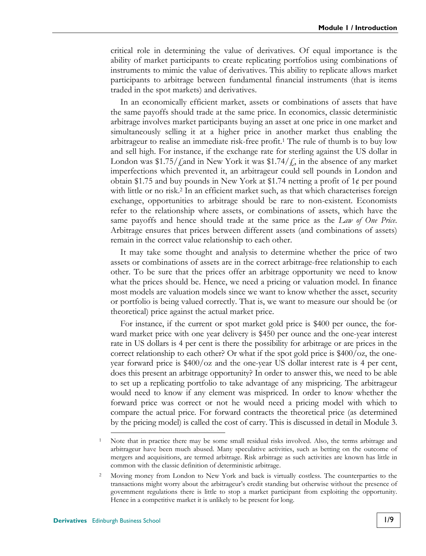critical role in determining the value of derivatives. Of equal importance is the ability of market participants to create replicating portfolios using combinations of instruments to mimic the value of derivatives. This ability to replicate allows market participants to arbitrage between fundamental financial instruments (that is items traded in the spot markets) and derivatives.

In an economically efficient market, assets or combinations of assets that have the same payoffs should trade at the same price. In economics, classic deterministic arbitrage involves market participants buying an asset at one price in one market and simultaneously selling it at a higher price in another market thus enabling the arbitrageur to realise an immediate risk-free profit.1 The rule of thumb is to buy low and sell high. For instance, if the exchange rate for sterling against the US dollar in London was \$1.75/ $\ell$  and in New York it was \$1.74/ $\ell$ , in the absence of any market imperfections which prevented it, an arbitrageur could sell pounds in London and obtain \$1.75 and buy pounds in New York at \$1.74 netting a profit of 1¢ per pound with little or no risk.<sup>2</sup> In an efficient market such, as that which characterises foreign exchange, opportunities to arbitrage should be rare to non-existent. Economists refer to the relationship where assets, or combinations of assets, which have the same payoffs and hence should trade at the same price as the *Law of One Price*. Arbitrage ensures that prices between different assets (and combinations of assets) remain in the correct value relationship to each other.

It may take some thought and analysis to determine whether the price of two assets or combinations of assets are in the correct arbitrage-free relationship to each other. To be sure that the prices offer an arbitrage opportunity we need to know what the prices should be. Hence, we need a pricing or valuation model. In finance most models are valuation models since we want to know whether the asset, security or portfolio is being valued correctly. That is, we want to measure our should be (or theoretical) price against the actual market price.

For instance, if the current or spot market gold price is \$400 per ounce, the forward market price with one year delivery is \$450 per ounce and the one-year interest rate in US dollars is 4 per cent is there the possibility for arbitrage or are prices in the correct relationship to each other? Or what if the spot gold price is \$400/oz, the oneyear forward price is \$400/oz and the one-year US dollar interest rate is 4 per cent, does this present an arbitrage opportunity? In order to answer this, we need to be able to set up a replicating portfolio to take advantage of any mispricing. The arbitrageur would need to know if any element was mispriced. In order to know whether the forward price was correct or not he would need a pricing model with which to compare the actual price. For forward contracts the theoretical price (as determined by the pricing model) is called the cost of carry. This is discussed in detail in Module 3.

Note that in practice there may be some small residual risks involved. Also, the terms arbitrage and arbitrageur have been much abused. Many speculative activities, such as betting on the outcome of mergers and acquisitions, are termed arbitrage. Risk arbitrage as such activities are known has little in common with the classic definition of deterministic arbitrage.

<sup>&</sup>lt;sup>2</sup> Moving money from London to New York and back is virtually costless. The counterparties to the transactions might worry about the arbitrageur's credit standing but otherwise without the presence of government regulations there is little to stop a market participant from exploiting the opportunity. Hence in a competitive market it is unlikely to be present for long.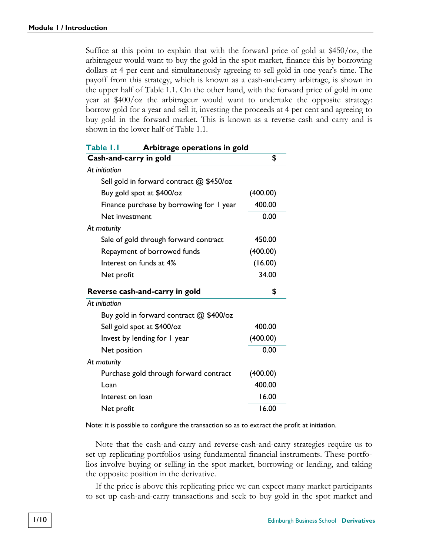Suffice at this point to explain that with the forward price of gold at \$450/oz, the arbitrageur would want to buy the gold in the spot market, finance this by borrowing dollars at 4 per cent and simultaneously agreeing to sell gold in one year's time. The payoff from this strategy, which is known as a cash-and-carry arbitrage, is shown in the upper half of [Table 1.1.](#page-25-0) On the other hand, with the forward price of gold in one year at \$400/oz the arbitrageur would want to undertake the opposite strategy: borrow gold for a year and sell it, investing the proceeds at 4 per cent and agreeing to buy gold in the forward market. This is known as a reverse cash and carry and is shown in the lower half of [Table 1.1.](#page-25-0)

<span id="page-25-0"></span>

| Table 1.1<br>Arbitrage operations in gold |          |  |  |
|-------------------------------------------|----------|--|--|
| Cash-and-carry in gold                    | \$       |  |  |
| At initiation                             |          |  |  |
| Sell gold in forward contract @ \$450/oz  |          |  |  |
| Buy gold spot at \$400/oz                 | (400.00) |  |  |
| Finance purchase by borrowing for I year  | 400.00   |  |  |
| Net investment                            | 0.00     |  |  |
| At maturity                               |          |  |  |
| Sale of gold through forward contract     | 450.00   |  |  |
| Repayment of borrowed funds               | (400.00) |  |  |
| Interest on funds at 4%                   | (16.00)  |  |  |
| Net profit                                | 34.00    |  |  |
| Reverse cash-and-carry in gold            | \$       |  |  |
| At initiation                             |          |  |  |
| Buy gold in forward contract @ \$400/oz   |          |  |  |
| Sell gold spot at \$400/oz                | 400.00   |  |  |
| Invest by lending for I year              | (400.00) |  |  |
| Net position                              | 0.00     |  |  |
| At maturity                               |          |  |  |
| Purchase gold through forward contract    | (400.00) |  |  |
| Loan                                      | 400.00   |  |  |
| Interest on Ioan                          | 16.00    |  |  |
| Net profit                                | 16.00    |  |  |
|                                           |          |  |  |

Note: it is possible to configure the transaction so as to extract the profit at initiation.

Note that the cash-and-carry and reverse-cash-and-carry strategies require us to set up replicating portfolios using fundamental financial instruments. These portfolios involve buying or selling in the spot market, borrowing or lending, and taking the opposite position in the derivative.

If the price is above this replicating price we can expect many market participants to set up cash-and-carry transactions and seek to buy gold in the spot market and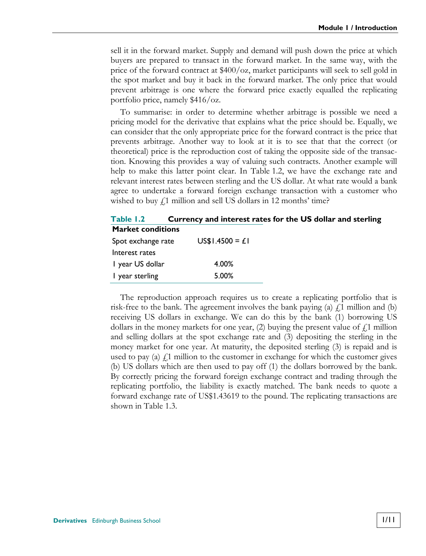sell it in the forward market. Supply and demand will push down the price at which buyers are prepared to transact in the forward market. In the same way, with the price of the forward contract at \$400/oz, market participants will seek to sell gold in the spot market and buy it back in the forward market. The only price that would prevent arbitrage is one where the forward price exactly equalled the replicating portfolio price, namely \$416/oz.

To summarise: in order to determine whether arbitrage is possible we need a pricing model for the derivative that explains what the price should be. Equally, we can consider that the only appropriate price for the forward contract is the price that prevents arbitrage. Another way to look at it is to see that that the correct (or theoretical) price is the reproduction cost of taking the opposite side of the transaction. Knowing this provides a way of valuing such contracts. Another example will help to make this latter point clear. In [Table 1.2,](#page-26-0) we have the exchange rate and relevant interest rates between sterling and the US dollar. At what rate would a bank agree to undertake a forward foreign exchange transaction with a customer who wished to buy  $\ell$ 1 million and sell US dollars in 12 months' time?

<span id="page-26-0"></span>**Table 1.2 Currency and interest rates for the US dollar and sterling Market conditions**

| Spot exchange rate | $US$1.4500 = L1$ |
|--------------------|------------------|
| Interest rates     |                  |
| I year US dollar   | 4.00%            |
| I year sterling    | 5.00%            |

The reproduction approach requires us to create a replicating portfolio that is risk-free to the bank. The agreement involves the bank paying (a)  $\hat{f}$  million and (b) receiving US dollars in exchange. We can do this by the bank (1) borrowing US dollars in the money markets for one year, (2) buying the present value of  $\ell$ , 1 million and selling dollars at the spot exchange rate and (3) depositing the sterling in the money market for one year. At maturity, the deposited sterling (3) is repaid and is used to pay (a)  $\ell$ 1 million to the customer in exchange for which the customer gives (b) US dollars which are then used to pay off (1) the dollars borrowed by the bank. By correctly pricing the forward foreign exchange contract and trading through the replicating portfolio, the liability is exactly matched. The bank needs to quote a forward exchange rate of US\$1.43619 to the pound. The replicating transactions are shown in [Table 1.3.](#page-27-0)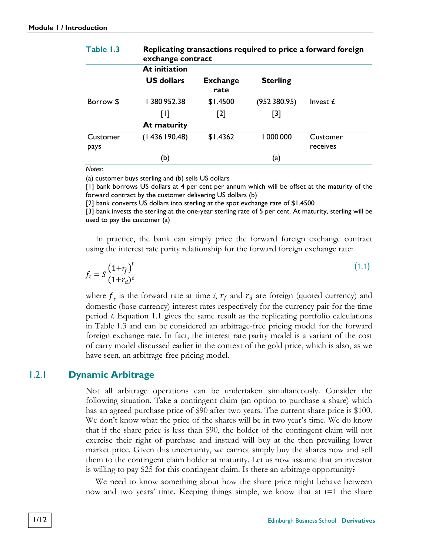|                  | exchange contract |                         |                          |                      |
|------------------|-------------------|-------------------------|--------------------------|----------------------|
|                  | At initiation     |                         |                          |                      |
|                  | <b>US dollars</b> | <b>Exchange</b><br>rate | <b>Sterling</b>          |                      |
| Borrow \$        | 1380952.38        | \$1.4500                | (952380.95)              | Invest £             |
|                  | Ш                 | $[2]$                   | $[3]$                    |                      |
|                  | At maturity       |                         |                          |                      |
| Customer<br>pays | (1436190.48)      | \$1.4362                | 000 000                  | Customer<br>receives |
|                  | (b)               |                         | $\left( \text{a}\right)$ |                      |

## <span id="page-27-0"></span>**Table 1.3 Replicating transactions required to price a forward foreign**

*Notes*:

(a) customer buys sterling and (b) sells US dollars

[1] bank borrows US dollars at 4 per cent per annum which will be offset at the maturity of the forward contract by the customer delivering US dollars (b)

[2] bank converts US dollars into sterling at the spot exchange rate of \$1.4500

[3] bank invests the sterling at the one-year sterling rate of 5 per cent. At maturity, sterling will be used to pay the customer (a)

In practice, the bank can simply price the forward foreign exchange contract using the interest rate parity relationship for the forward foreign exchange rate:

<span id="page-27-1"></span>
$$
f_t = S \frac{\left(1 + r_f\right)^t}{\left(1 + r_d\right)^t} \tag{1.1}
$$

where  $f_t$  is the forward rate at time  $t$ ,  $r_f$  and  $r_d$  are foreign (quoted currency) and domestic (base currency) interest rates respectively for the currency pair for the time period *t*. Equation [1.1](#page-27-1) gives the same result as the replicating portfolio calculations in [Table 1.3](#page-27-0) and can be considered an arbitrage-free pricing model for the forward foreign exchange rate. In fact, the interest rate parity model is a variant of the cost of carry model discussed earlier in the context of the gold price, which is also, as we have seen, an arbitrage-free pricing model.

#### 1.2.1 **Dynamic Arbitrage**

Not all arbitrage operations can be undertaken simultaneously. Consider the following situation. Take a contingent claim (an option to purchase a share) which has an agreed purchase price of \$90 after two years. The current share price is \$100. We don't know what the price of the shares will be in two year's time. We do know that if the share price is less than \$90, the holder of the contingent claim will not exercise their right of purchase and instead will buy at the then prevailing lower market price. Given this uncertainty, we cannot simply buy the shares now and sell them to the contingent claim holder at maturity. Let us now assume that an investor is willing to pay \$25 for this contingent claim. Is there an arbitrage opportunity?

We need to know something about how the share price might behave between now and two years' time. Keeping things simple, we know that at  $t=1$  the share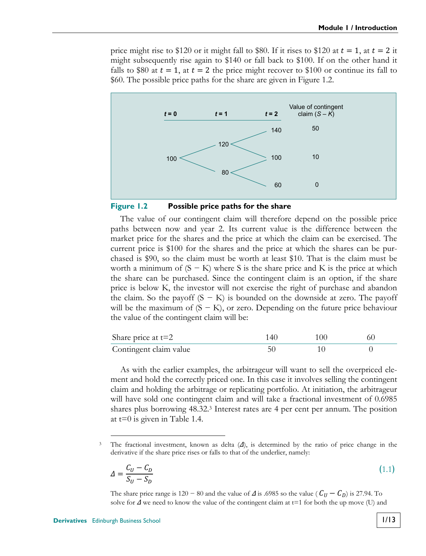price might rise to \$120 or it might fall to \$80. If it rises to \$120 at  $t = 1$ , at  $t = 2$  it might subsequently rise again to \$140 or fall back to \$100. If on the other hand it falls to \$80 at  $t = 1$ , at  $t = 2$  the price might recover to \$100 or continue its fall to \$60. The possible price paths for the share are given in [Figure 1.2.](#page-28-0)



#### <span id="page-28-0"></span>**Figure 1.2 Possible price paths for the share**

The value of our contingent claim will therefore depend on the possible price paths between now and year 2. Its current value is the difference between the market price for the shares and the price at which the claim can be exercised. The current price is \$100 for the shares and the price at which the shares can be purchased is \$90, so the claim must be worth at least \$10. That is the claim must be worth a minimum of  $(S - K)$  where S is the share price and K is the price at which the share can be purchased. Since the contingent claim is an option, if the share price is below K, the investor will not exercise the right of purchase and abandon the claim. So the payoff  $(S - K)$  is bounded on the downside at zero. The payoff will be the maximum of  $(S - K)$ , or zero. Depending on the future price behaviour the value of the contingent claim will be:

| Share price at $t=2$   | 100 |  |
|------------------------|-----|--|
| Contingent claim value |     |  |

As with the earlier examples, the arbitrageur will want to sell the overpriced element and hold the correctly priced one. In this case it involves selling the contingent claim and holding the arbitrage or replicating portfolio. At initiation, the arbitrageur will have sold one contingent claim and will take a fractional investment of 0.6985 shares plus borrowing 48.32.3 Interest rates are 4 per cent per annum. The position at t=0 is given in [Table 1.4.](#page-29-0)

 3 The fractional investment, known as delta (Δ), is determined by the ratio of price change in the derivative if the share price rises or falls to that of the underlier, namely:

$$
\Delta = \frac{C_U - C_D}{S_U - S_D} \tag{1.1}
$$

The share price range is 120 – 80 and the value of  $\Delta$  is .6985 so the value ( $C_U - C_D$ ) is 27.94. To solve for  $\Delta$  we need to know the value of the contingent claim at t=1 for both the up move (U) and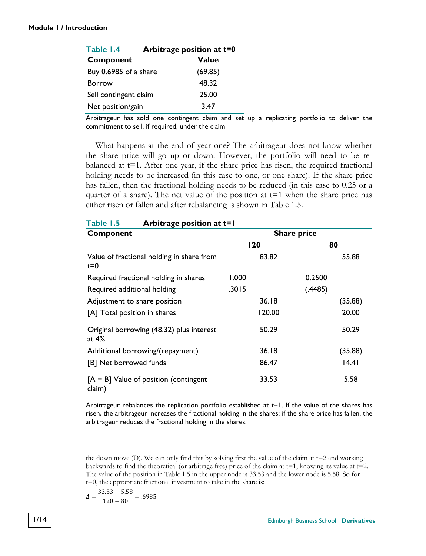<span id="page-29-0"></span>

| Table 1.4             | Arbitrage position at t=0 |  |  |
|-----------------------|---------------------------|--|--|
| Component             | Value                     |  |  |
| Buy 0.6985 of a share | (69.85)                   |  |  |
| <b>Borrow</b>         | 48.32                     |  |  |
| Sell contingent claim | 25.00                     |  |  |
| Net position/gain     | 3.47                      |  |  |

<span id="page-29-1"></span>**Table 1.5 Arbitrage position at t=1** 

Arbitrageur has sold one contingent claim and set up a replicating portfolio to deliver the commitment to sell, if required, under the claim

What happens at the end of year one? The arbitrageur does not know whether the share price will go up or down. However, the portfolio will need to be rebalanced at  $t=1$ . After one year, if the share price has risen, the required fractional holding needs to be increased (in this case to one, or one share). If the share price has fallen, then the fractional holding needs to be reduced (in this case to 0.25 or a quarter of a share). The net value of the position at  $t=1$  when the share price has either risen or fallen and after rebalancing is shown in [Table 1.5.](#page-29-1)

| $140E$ $3$<br>Arbitrage position at t-1              |       |        |                    |         |
|------------------------------------------------------|-------|--------|--------------------|---------|
| Component                                            |       |        | <b>Share price</b> |         |
|                                                      |       | 120    | 80                 |         |
| Value of fractional holding in share from<br>$t = 0$ |       | 83.82  |                    | 55.88   |
| Required fractional holding in shares                | 1.000 |        | 0.2500             |         |
| Required additional holding                          | .3015 |        | (.4485)            |         |
| Adjustment to share position                         |       | 36.18  |                    | (35.88) |
| [A] Total position in shares                         |       | 120.00 |                    | 20.00   |
| Original borrowing (48.32) plus interest<br>at $4\%$ |       | 50.29  |                    | 50.29   |
| Additional borrowing/(repayment)                     |       | 36.18  |                    | (35.88) |
| [B] Net borrowed funds                               |       | 86.47  |                    | 14.41   |
| $[A - B]$ Value of position (contingent<br>claim)    |       | 33.53  |                    | 5.58    |

Arbitrageur rebalances the replication portfolio established at  $t=1$ . If the value of the shares has risen, the arbitrageur increases the fractional holding in the shares; if the share price has fallen, the arbitrageur reduces the fractional holding in the shares.

$$
\Delta = \frac{33.53 - 5.58}{120 - 80} = .6985
$$

 $\overline{a}$ 

the down move (D). We can only find this by solving first the value of the claim at t=2 and working backwards to find the theoretical (or arbitrage free) price of the claim at  $t=1$ , knowing its value at  $t=2$ . The value of the position i[n Table 1.5](#page-29-1) in the upper node is 33.53 and the lower node is 5.58. So for t=0, the appropriate fractional investment to take in the share is: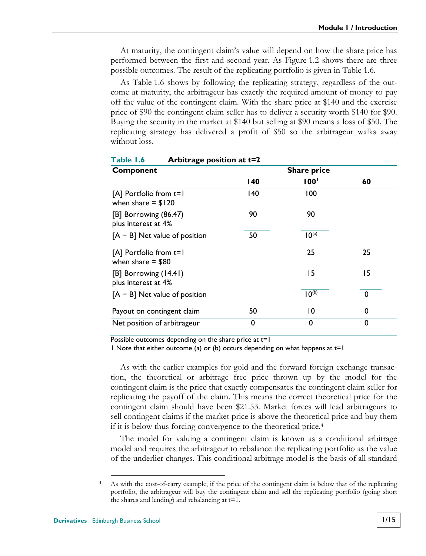At maturity, the contingent claim's value will depend on how the share price has performed between the first and second year. As [Figure 1.2](#page-28-0) shows there are three possible outcomes. The result of the replicating portfolio is given in [Table 1.6.](#page-30-0) 

As [Table 1.6](#page-30-0) shows by following the replicating strategy, regardless of the outcome at maturity, the arbitrageur has exactly the required amount of money to pay off the value of the contingent claim. With the share price at \$140 and the exercise price of \$90 the contingent claim seller has to deliver a security worth \$140 for \$90. Buying the security in the market at \$140 but selling at \$90 means a loss of \$50. The replicating strategy has delivered a profit of \$50 so the arbitrageur walks away without loss.

| Component                                         | <b>Share price</b> |                   |          |
|---------------------------------------------------|--------------------|-------------------|----------|
|                                                   | 140                | 100 <sup>1</sup>  | 60       |
| $[A]$ Portfolio from $t=1$<br>when share $= $120$ | 140                | 100               |          |
| [B] Borrowing (86.47)<br>plus interest at 4%      | 90                 | 90                |          |
| $[A - B]$ Net value of position                   | 50                 | 10 <sup>(a)</sup> |          |
| $[A]$ Portfolio from $t=1$<br>when share $= $80$  |                    | 25                | 25       |
| [B] Borrowing (14.41)<br>plus interest at 4%      |                    | 15                | 15       |
| $[A - B]$ Net value of position                   |                    | 10 <sup>(b)</sup> | $\Omega$ |
| Payout on contingent claim                        | 50                 | 10                | 0        |
| Net position of arbitrageur                       | 0                  | 0                 | 0        |

<span id="page-30-0"></span>

| Table 1.6 |  | Arbitrage position at t=2 |
|-----------|--|---------------------------|
|-----------|--|---------------------------|

Possible outcomes depending on the share price at t=1

1 Note that either outcome (a) or (b) occurs depending on what happens at  $t=1$ 

As with the earlier examples for gold and the forward foreign exchange transaction, the theoretical or arbitrage free price thrown up by the model for the contingent claim is the price that exactly compensates the contingent claim seller for replicating the payoff of the claim. This means the correct theoretical price for the contingent claim should have been \$21.53. Market forces will lead arbitrageurs to sell contingent claims if the market price is above the theoretical price and buy them if it is below thus forcing convergence to the theoretical price.4

The model for valuing a contingent claim is known as a conditional arbitrage model and requires the arbitrageur to rebalance the replicating portfolio as the value of the underlier changes. This conditional arbitrage model is the basis of all standard

 <sup>4</sup> As with the cost-of-carry example, if the price of the contingent claim is below that of the replicating portfolio, the arbitrageur will buy the contingent claim and sell the replicating portfolio (going short the shares and lending) and rebalancing at  $t=1$ .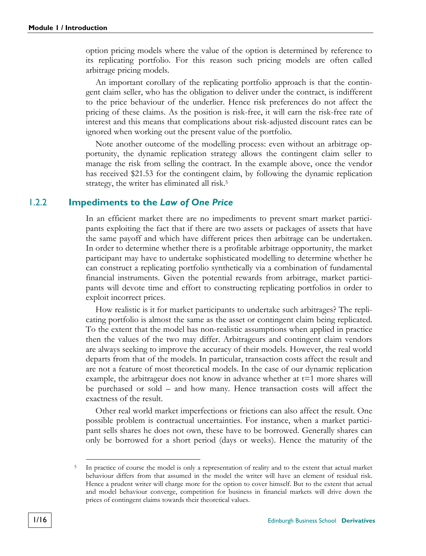option pricing models where the value of the option is determined by reference to its replicating portfolio. For this reason such pricing models are often called arbitrage pricing models.

An important corollary of the replicating portfolio approach is that the contingent claim seller, who has the obligation to deliver under the contract, is indifferent to the price behaviour of the underlier. Hence risk preferences do not affect the pricing of these claims. As the position is risk-free, it will earn the risk-free rate of interest and this means that complications about risk-adjusted discount rates can be ignored when working out the present value of the portfolio.

Note another outcome of the modelling process: even without an arbitrage opportunity, the dynamic replication strategy allows the contingent claim seller to manage the risk from selling the contract. In the example above, once the vendor has received \$21.53 for the contingent claim, by following the dynamic replication strategy, the writer has eliminated all risk.5

#### 1.2.2 **Impediments to the** *Law of One Price*

<span id="page-31-0"></span>In an efficient market there are no impediments to prevent smart market participants exploiting the fact that if there are two assets or packages of assets that have the same payoff and which have different prices then arbitrage can be undertaken. In order to determine whether there is a profitable arbitrage opportunity, the market participant may have to undertake sophisticated modelling to determine whether he can construct a replicating portfolio synthetically via a combination of fundamental financial instruments. Given the potential rewards from arbitrage, market participants will devote time and effort to constructing replicating portfolios in order to exploit incorrect prices.

How realistic is it for market participants to undertake such arbitrages? The replicating portfolio is almost the same as the asset or contingent claim being replicated. To the extent that the model has non-realistic assumptions when applied in practice then the values of the two may differ. Arbitrageurs and contingent claim vendors are always seeking to improve the accuracy of their models. However, the real world departs from that of the models. In particular, transaction costs affect the result and are not a feature of most theoretical models. In the case of our dynamic replication example, the arbitrageur does not know in advance whether at  $t=1$  more shares will be purchased or sold – and how many. Hence transaction costs will affect the exactness of the result.

Other real world market imperfections or frictions can also affect the result. One possible problem is contractual uncertainties. For instance, when a market participant sells shares he does not own, these have to be borrowed. Generally shares can only be borrowed for a short period (days or weeks). Hence the maturity of the

 <sup>5</sup> In practice of course the model is only a representation of reality and to the extent that actual market behaviour differs from that assumed in the model the writer will have an element of residual risk. Hence a prudent writer will charge more for the option to cover himself. But to the extent that actual and model behaviour converge, competition for business in financial markets will drive down the prices of contingent claims towards their theoretical values.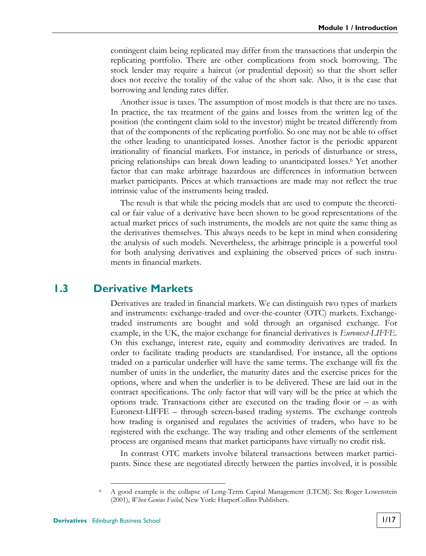contingent claim being replicated may differ from the transactions that underpin the replicating portfolio. There are other complications from stock borrowing. The stock lender may require a haircut (or prudential deposit) so that the short seller does not receive the totality of the value of the short sale. Also, it is the case that borrowing and lending rates differ.

Another issue is taxes. The assumption of most models is that there are no taxes. In practice, the tax treatment of the gains and losses from the written leg of the position (the contingent claim sold to the investor) might be treated differently from that of the components of the replicating portfolio. So one may not be able to offset the other leading to unanticipated losses. Another factor is the periodic apparent irrationality of financial markets. For instance, in periods of disturbance or stress, pricing relationships can break down leading to unanticipated losses.6 Yet another factor that can make arbitrage hazardous are differences in information between market participants. Prices at which transactions are made may not reflect the true intrinsic value of the instruments being traded.

The result is that while the pricing models that are used to compute the theoretical or fair value of a derivative have been shown to be good representations of the actual market prices of such instruments, the models are not quite the same thing as the derivatives themselves. This always needs to be kept in mind when considering the analysis of such models. Nevertheless, the arbitrage principle is a powerful tool for both analysing derivatives and explaining the observed prices of such instruments in financial markets.

#### **1.3 Derivative Markets**

Derivatives are traded in financial markets. We can distinguish two types of markets and instruments: exchange-traded and over-the-counter (OTC) markets. Exchangetraded instruments are bought and sold through an organised exchange. For example, in the UK, the major exchange for financial derivatives is *Euronext-LIFFE*. On this exchange, interest rate, equity and commodity derivatives are traded. In order to facilitate trading products are standardised. For instance, all the options traded on a particular underlier will have the same terms. The exchange will fix the number of units in the underlier, the maturity dates and the exercise prices for the options, where and when the underlier is to be delivered. These are laid out in the contract specifications. The only factor that will vary will be the price at which the options trade. Transactions either are executed on the trading floor or – as with Euronext-LIFFE – through screen-based trading systems. The exchange controls how trading is organised and regulates the activities of traders, who have to be registered with the exchange. The way trading and other elements of the settlement process are organised means that market participants have virtually no credit risk.

In contrast OTC markets involve bilateral transactions between market participants. Since these are negotiated directly between the parties involved, it is possible

 <sup>6</sup> A good example is the collapse of Long-Term Capital Management (LTCM). See [Roger Lowenstein](#page-44-2)  [\(2001\),](#page-44-2) *When Genius Failed*, New York: HarperCollins Publishers.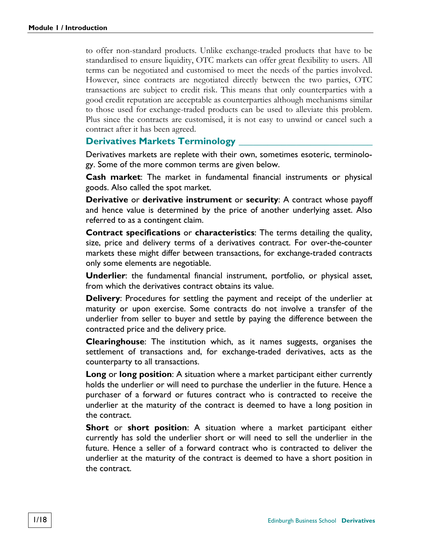to offer non-standard products. Unlike exchange-traded products that have to be standardised to ensure liquidity, OTC markets can offer great flexibility to users. All terms can be negotiated and customised to meet the needs of the parties involved. However, since contracts are negotiated directly between the two parties, OTC transactions are subject to credit risk. This means that only counterparties with a good credit reputation are acceptable as counterparties although mechanisms similar to those used for exchange-traded products can be used to alleviate this problem. Plus since the contracts are customised, it is not easy to unwind or cancel such a contract after it has been agreed.

#### **Derivatives Markets Terminology**

Derivatives markets are replete with their own, sometimes esoteric, terminology. Some of the more common terms are given below.

**Cash market**: The market in fundamental financial instruments or physical goods. Also called the spot market.

**Derivative** or **derivative instrument** or **security**: A contract whose payoff and hence value is determined by the price of another underlying asset. Also referred to as a contingent claim.

**Contract specifications** or **characteristics**: The terms detailing the quality, size, price and delivery terms of a derivatives contract. For over-the-counter markets these might differ between transactions, for exchange-traded contracts only some elements are negotiable.

**Underlier**: the fundamental financial instrument, portfolio, or physical asset, from which the derivatives contract obtains its value.

**Delivery**: Procedures for settling the payment and receipt of the underlier at maturity or upon exercise. Some contracts do not involve a transfer of the underlier from seller to buyer and settle by paying the difference between the contracted price and the delivery price.

**Clearinghouse**: The institution which, as it names suggests, organises the settlement of transactions and, for exchange-traded derivatives, acts as the counterparty to all transactions.

**Long** or **long position**: A situation where a market participant either currently holds the underlier or will need to purchase the underlier in the future. Hence a purchaser of a forward or futures contract who is contracted to receive the underlier at the maturity of the contract is deemed to have a long position in the contract.

**Short** or **short position**: A situation where a market participant either currently has sold the underlier short or will need to sell the underlier in the future. Hence a seller of a forward contract who is contracted to deliver the underlier at the maturity of the contract is deemed to have a short position in the contract.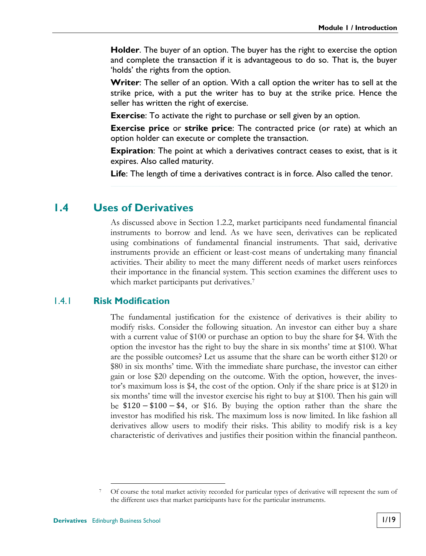**Holder**. The buyer of an option. The buyer has the right to exercise the option and complete the transaction if it is advantageous to do so. That is, the buyer 'holds' the rights from the option.

**Writer**: The seller of an option. With a call option the writer has to sell at the strike price, with a put the writer has to buy at the strike price. Hence the seller has written the right of exercise.

**Exercise**: To activate the right to purchase or sell given by an option.

**Exercise price** or **strike price**: The contracted price (or rate) at which an option holder can execute or complete the transaction.

**Expiration**: The point at which a derivatives contract ceases to exist, that is it expires. Also called maturity.

**Life**: The length of time a derivatives contract is in force. Also called the tenor.

#### **1.4 Uses of Derivatives**

As discussed above in Section [1.2.2,](#page-31-0) market participants need fundamental financial instruments to borrow and lend. As we have seen, derivatives can be replicated using combinations of fundamental financial instruments. That said, derivative instruments provide an efficient or least-cost means of undertaking many financial activities. Their ability to meet the many different needs of market users reinforces their importance in the financial system. This section examines the different uses to which market participants put derivatives.<sup>7</sup>

#### 1.4.1 **Risk Modification**

The fundamental justification for the existence of derivatives is their ability to modify risks. Consider the following situation. An investor can either buy a share with a current value of \$100 or purchase an option to buy the share for \$4. With the option the investor has the right to buy the share in six months' time at \$100. What are the possible outcomes? Let us assume that the share can be worth either \$120 or \$80 in six months' time. With the immediate share purchase, the investor can either gain or lose \$20 depending on the outcome. With the option, however, the investor's maximum loss is \$4, the cost of the option. Only if the share price is at \$120 in six months' time will the investor exercise his right to buy at \$100. Then his gain will be  $$120 - $100 - $4$ , or \$16. By buying the option rather than the share the investor has modified his risk. The maximum loss is now limited. In like fashion all derivatives allow users to modify their risks. This ability to modify risk is a key characteristic of derivatives and justifies their position within the financial pantheon.

 <sup>7</sup> Of course the total market activity recorded for particular types of derivative will represent the sum of the different uses that market participants have for the particular instruments.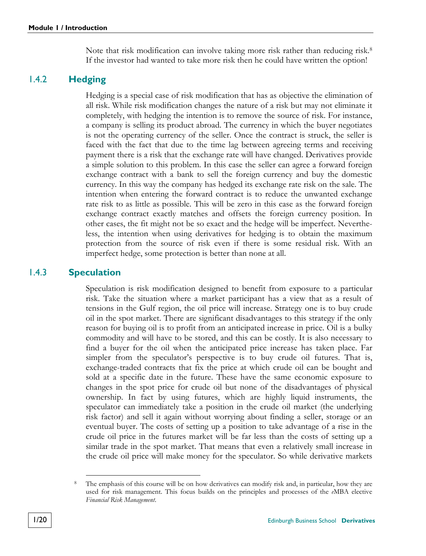Note that risk modification can involve taking more risk rather than reducing risk.<sup>8</sup> If the investor had wanted to take more risk then he could have written the option!

#### 1.4.2 **Hedging**

Hedging is a special case of risk modification that has as objective the elimination of all risk. While risk modification changes the nature of a risk but may not eliminate it completely, with hedging the intention is to remove the source of risk. For instance, a company is selling its product abroad. The currency in which the buyer negotiates is not the operating currency of the seller. Once the contract is struck, the seller is faced with the fact that due to the time lag between agreeing terms and receiving payment there is a risk that the exchange rate will have changed. Derivatives provide a simple solution to this problem. In this case the seller can agree a forward foreign exchange contract with a bank to sell the foreign currency and buy the domestic currency. In this way the company has hedged its exchange rate risk on the sale. The intention when entering the forward contract is to reduce the unwanted exchange rate risk to as little as possible. This will be zero in this case as the forward foreign exchange contract exactly matches and offsets the foreign currency position. In other cases, the fit might not be so exact and the hedge will be imperfect. Nevertheless, the intention when using derivatives for hedging is to obtain the maximum protection from the source of risk even if there is some residual risk. With an imperfect hedge, some protection is better than none at all.

#### 1.4.3 **Speculation**

<span id="page-35-0"></span>Speculation is risk modification designed to benefit from exposure to a particular risk. Take the situation where a market participant has a view that as a result of tensions in the Gulf region, the oil price will increase. Strategy one is to buy crude oil in the spot market. There are significant disadvantages to this strategy if the only reason for buying oil is to profit from an anticipated increase in price. Oil is a bulky commodity and will have to be stored, and this can be costly. It is also necessary to find a buyer for the oil when the anticipated price increase has taken place. Far simpler from the speculator's perspective is to buy crude oil futures. That is, exchange-traded contracts that fix the price at which crude oil can be bought and sold at a specific date in the future. These have the same economic exposure to changes in the spot price for crude oil but none of the disadvantages of physical ownership. In fact by using futures, which are highly liquid instruments, the speculator can immediately take a position in the crude oil market (the underlying risk factor) and sell it again without worrying about finding a seller, storage or an eventual buyer. The costs of setting up a position to take advantage of a rise in the crude oil price in the futures market will be far less than the costs of setting up a similar trade in the spot market. That means that even a relatively small increase in the crude oil price will make money for the speculator. So while derivative markets

The emphasis of this course will be on how derivatives can modify risk and, in particular, how they are used for risk management. This focus builds on the principles and processes of the *e*MBA elective *Financial Risk Management*.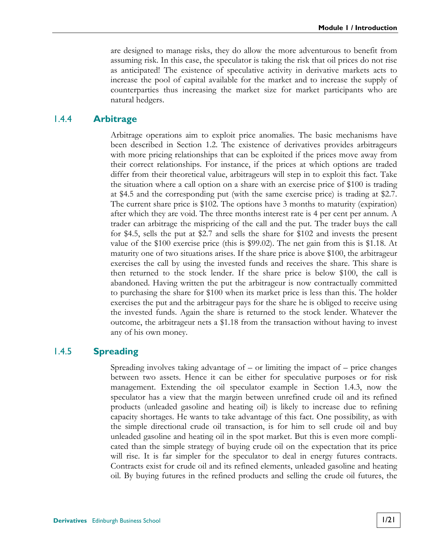are designed to manage risks, they do allow the more adventurous to benefit from assuming risk. In this case, the speculator is taking the risk that oil prices do not rise as anticipated! The existence of speculative activity in derivative markets acts to increase the pool of capital available for the market and to increase the supply of counterparties thus increasing the market size for market participants who are natural hedgers.

#### 1.4.4 **Arbitrage**

Arbitrage operations aim to exploit price anomalies. The basic mechanisms have been described in Section [1.2.](#page-23-1) The existence of derivatives provides arbitrageurs with more pricing relationships that can be exploited if the prices move away from their correct relationships. For instance, if the prices at which options are traded differ from their theoretical value, arbitrageurs will step in to exploit this fact. Take the situation where a call option on a share with an exercise price of \$100 is trading at \$4.5 and the corresponding put (with the same exercise price) is trading at \$2.7. The current share price is \$102. The options have 3 months to maturity (expiration) after which they are void. The three months interest rate is 4 per cent per annum. A trader can arbitrage the mispricing of the call and the put. The trader buys the call for \$4.5, sells the put at \$2.7 and sells the share for \$102 and invests the present value of the \$100 exercise price (this is \$99.02). The net gain from this is \$1.18. At maturity one of two situations arises. If the share price is above \$100, the arbitrageur exercises the call by using the invested funds and receives the share. This share is then returned to the stock lender. If the share price is below \$100, the call is abandoned. Having written the put the arbitrageur is now contractually committed to purchasing the share for \$100 when its market price is less than this. The holder exercises the put and the arbitrageur pays for the share he is obliged to receive using the invested funds. Again the share is returned to the stock lender. Whatever the outcome, the arbitrageur nets a \$1.18 from the transaction without having to invest any of his own money.

#### 1.4.5 **Spreading**

Spreading involves taking advantage of – or limiting the impact of – price changes between two assets. Hence it can be either for speculative purposes or for risk management. Extending the oil speculator example in Section [1.4.3,](#page-35-0) now the speculator has a view that the margin between unrefined crude oil and its refined products (unleaded gasoline and heating oil) is likely to increase due to refining capacity shortages. He wants to take advantage of this fact. One possibility, as with the simple directional crude oil transaction, is for him to sell crude oil and buy unleaded gasoline and heating oil in the spot market. But this is even more complicated than the simple strategy of buying crude oil on the expectation that its price will rise. It is far simpler for the speculator to deal in energy futures contracts. Contracts exist for crude oil and its refined elements, unleaded gasoline and heating oil. By buying futures in the refined products and selling the crude oil futures, the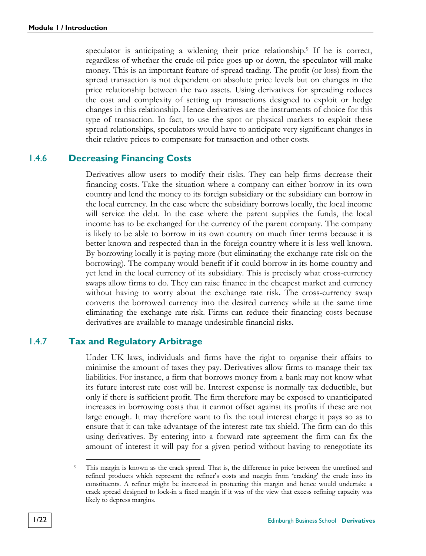speculator is anticipating a widening their price relationship.9 If he is correct, regardless of whether the crude oil price goes up or down, the speculator will make money. This is an important feature of spread trading. The profit (or loss) from the spread transaction is not dependent on absolute price levels but on changes in the price relationship between the two assets. Using derivatives for spreading reduces the cost and complexity of setting up transactions designed to exploit or hedge changes in this relationship. Hence derivatives are the instruments of choice for this type of transaction. In fact, to use the spot or physical markets to exploit these spread relationships, speculators would have to anticipate very significant changes in their relative prices to compensate for transaction and other costs.

#### 1.4.6 **Decreasing Financing Costs**

Derivatives allow users to modify their risks. They can help firms decrease their financing costs. Take the situation where a company can either borrow in its own country and lend the money to its foreign subsidiary or the subsidiary can borrow in the local currency. In the case where the subsidiary borrows locally, the local income will service the debt. In the case where the parent supplies the funds, the local income has to be exchanged for the currency of the parent company. The company is likely to be able to borrow in its own country on much finer terms because it is better known and respected than in the foreign country where it is less well known. By borrowing locally it is paying more (but eliminating the exchange rate risk on the borrowing). The company would benefit if it could borrow in its home country and yet lend in the local currency of its subsidiary. This is precisely what cross-currency swaps allow firms to do. They can raise finance in the cheapest market and currency without having to worry about the exchange rate risk. The cross-currency swap converts the borrowed currency into the desired currency while at the same time eliminating the exchange rate risk. Firms can reduce their financing costs because derivatives are available to manage undesirable financial risks.

#### 1.4.7 **Tax and Regulatory Arbitrage**

Under UK laws, individuals and firms have the right to organise their affairs to minimise the amount of taxes they pay. Derivatives allow firms to manage their tax liabilities. For instance, a firm that borrows money from a bank may not know what its future interest rate cost will be. Interest expense is normally tax deductible, but only if there is sufficient profit. The firm therefore may be exposed to unanticipated increases in borrowing costs that it cannot offset against its profits if these are not large enough. It may therefore want to fix the total interest charge it pays so as to ensure that it can take advantage of the interest rate tax shield. The firm can do this using derivatives. By entering into a forward rate agreement the firm can fix the amount of interest it will pay for a given period without having to renegotiate its

This margin is known as the crack spread. That is, the difference in price between the unrefined and refined products which represent the refiner's costs and margin from 'cracking' the crude into its constituents. A refiner might be interested in protecting this margin and hence would undertake a crack spread designed to lock-in a fixed margin if it was of the view that excess refining capacity was likely to depress margins.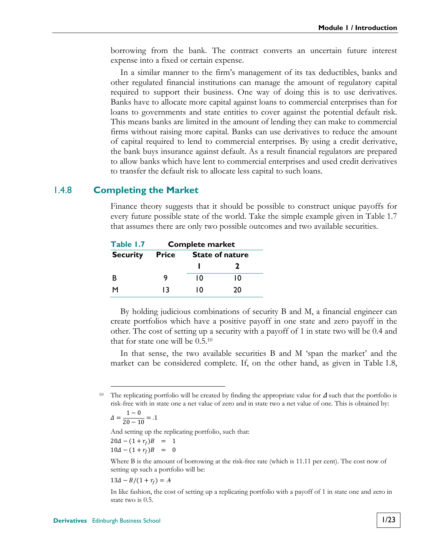borrowing from the bank. The contract converts an uncertain future interest expense into a fixed or certain expense.

In a similar manner to the firm's management of its tax deductibles, banks and other regulated financial institutions can manage the amount of regulatory capital required to support their business. One way of doing this is to use derivatives. Banks have to allocate more capital against loans to commercial enterprises than for loans to governments and state entities to cover against the potential default risk. This means banks are limited in the amount of lending they can make to commercial firms without raising more capital. Banks can use derivatives to reduce the amount of capital required to lend to commercial enterprises. By using a credit derivative, the bank buys insurance against default. As a result financial regulators are prepared to allow banks which have lent to commercial enterprises and used credit derivatives to transfer the default risk to allocate less capital to such loans.

#### 1.4.8 **Completing the Market**

Finance theory suggests that it should be possible to construct unique payoffs for every future possible state of the world. Take the simple example given in [Table 1.7](#page-38-0)  that assumes there are only two possible outcomes and two available securities.

<span id="page-38-0"></span>

| Table 1.7       | <b>Complete market</b> |                        |    |  |
|-----------------|------------------------|------------------------|----|--|
| <b>Security</b> | Price                  | <b>State of nature</b> |    |  |
|                 |                        |                        |    |  |
| R               | 9                      | 10                     | 10 |  |
| м               | 13                     | ۱٥                     | 20 |  |

By holding judicious combinations of security B and M, a financial engineer can create portfolios which have a positive payoff in one state and zero payoff in the other. The cost of setting up a security with a payoff of 1 in state two will be 0.4 and that for state one will be 0.5.10

In that sense, the two available securities B and M 'span the market' and the market can be considered complete. If, on the other hand, as given in [Table 1.8,](#page-39-0) 

$$
\Delta = \frac{1 - 0}{20 - 10} = .1
$$

And setting up the replicating portfolio, such that:

$$
20\Delta - (1 + r_f)B = 1 10\Delta - (1 + r_f)B = 0
$$

Where B is the amount of borrowing at the risk-free rate (which is 11.11 per cent). The cost now of setting up such a portfolio will be:

$$
13\Delta - B/(1+r_f) = .4
$$

In like fashion, the cost of setting up a replicating portfolio with a payoff of 1 in state one and zero in state two is 0.5.

The replicating portfolio will be created by finding the appropriate value for  $\Delta$  such that the portfolio is risk-free with in state one a net value of zero and in state two a net value of one. This is obtained by: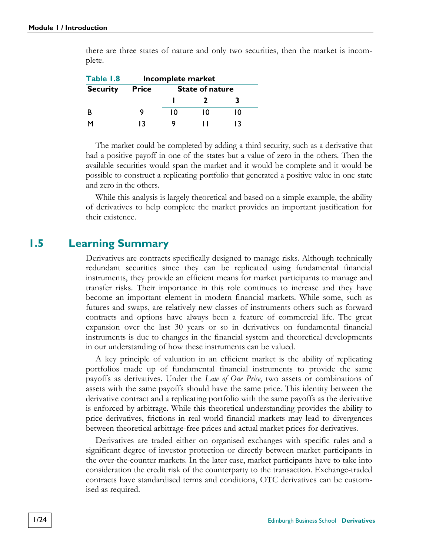<span id="page-39-0"></span>

| Table 1.8       | Incomplete market |                        |    |    |
|-----------------|-------------------|------------------------|----|----|
| <b>Security</b> | <b>Price</b>      | <b>State of nature</b> |    |    |
|                 |                   |                        |    |    |
| B               | 9                 | 10                     | 10 | 10 |
| м               | 13                |                        |    | 13 |

there are three states of nature and only two securities, then the market is incomplete.

The market could be completed by adding a third security, such as a derivative that had a positive payoff in one of the states but a value of zero in the others. Then the available securities would span the market and it would be complete and it would be possible to construct a replicating portfolio that generated a positive value in one state and zero in the others.

While this analysis is largely theoretical and based on a simple example, the ability of derivatives to help complete the market provides an important justification for their existence.

#### **1.5 Learning Summary**

Derivatives are contracts specifically designed to manage risks. Although technically redundant securities since they can be replicated using fundamental financial instruments, they provide an efficient means for market participants to manage and transfer risks. Their importance in this role continues to increase and they have become an important element in modern financial markets. While some, such as futures and swaps, are relatively new classes of instruments others such as forward contracts and options have always been a feature of commercial life. The great expansion over the last 30 years or so in derivatives on fundamental financial instruments is due to changes in the financial system and theoretical developments in our understanding of how these instruments can be valued.

A key principle of valuation in an efficient market is the ability of replicating portfolios made up of fundamental financial instruments to provide the same payoffs as derivatives. Under the *Law of One Price*, two assets or combinations of assets with the same payoffs should have the same price. This identity between the derivative contract and a replicating portfolio with the same payoffs as the derivative is enforced by arbitrage. While this theoretical understanding provides the ability to price derivatives, frictions in real world financial markets may lead to divergences between theoretical arbitrage-free prices and actual market prices for derivatives.

Derivatives are traded either on organised exchanges with specific rules and a significant degree of investor protection or directly between market participants in the over-the-counter markets. In the later case, market participants have to take into consideration the credit risk of the counterparty to the transaction. Exchange-traded contracts have standardised terms and conditions, OTC derivatives can be customised as required.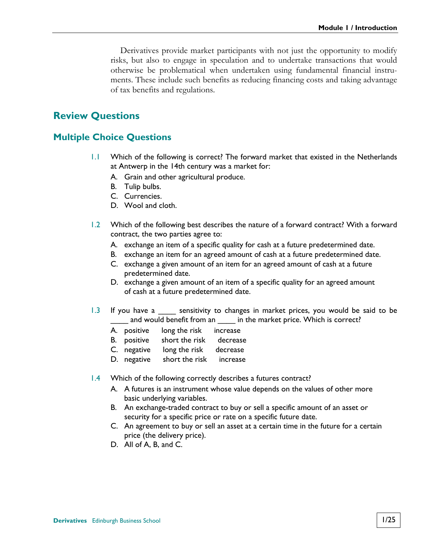Derivatives provide market participants with not just the opportunity to modify risks, but also to engage in speculation and to undertake transactions that would otherwise be problematical when undertaken using fundamental financial instruments. These include such benefits as reducing financing costs and taking advantage of tax benefits and regulations.

#### **Review Questions**

#### **Multiple Choice Questions**

- 1.1 Which of the following is correct? The forward market that existed in the Netherlands at Antwerp in the 14th century was a market for:
	- A. Grain and other agricultural produce.
	- B. Tulip bulbs.
	- C. Currencies.
	- D. Wool and cloth.
- 1.2 Which of the following best describes the nature of a forward contract? With a forward contract, the two parties agree to:
	- A. exchange an item of a specific quality for cash at a future predetermined date.
	- B. exchange an item for an agreed amount of cash at a future predetermined date.
	- C. exchange a given amount of an item for an agreed amount of cash at a future predetermined date.
	- D. exchange a given amount of an item of a specific quality for an agreed amount of cash at a future predetermined date.
- 1.3 If you have a sensitivity to changes in market prices, you would be said to be and would benefit from an \_\_\_\_\_ in the market price. Which is correct?
	- A. positive long the risk increase
	- B. positive short the risk decrease
	- C. negative long the risk decrease
	- D. negative short the risk increase
- 1.4 Which of the following correctly describes a futures contract?
	- A. A futures is an instrument whose value depends on the values of other more basic underlying variables.
	- B. An exchange-traded contract to buy or sell a specific amount of an asset or security for a specific price or rate on a specific future date.
	- C. An agreement to buy or sell an asset at a certain time in the future for a certain price (the delivery price).
	- D. All of A, B, and C.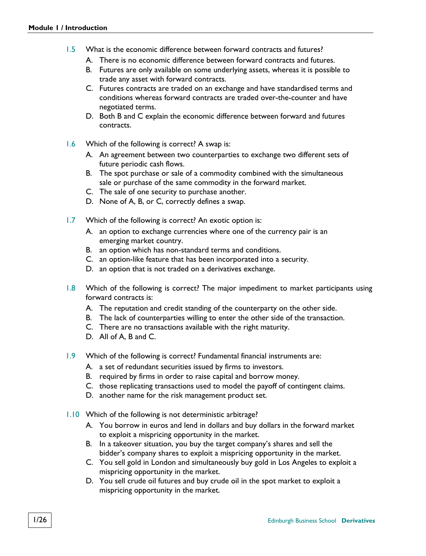- 1.5 What is the economic difference between forward contracts and futures?
	- A. There is no economic difference between forward contracts and futures.
	- B. Futures are only available on some underlying assets, whereas it is possible to trade any asset with forward contracts.
	- C. Futures contracts are traded on an exchange and have standardised terms and conditions whereas forward contracts are traded over-the-counter and have negotiated terms.
	- D. Both B and C explain the economic difference between forward and futures contracts.
- 1.6 Which of the following is correct? A swap is:
	- A. An agreement between two counterparties to exchange two different sets of future periodic cash flows.
	- B. The spot purchase or sale of a commodity combined with the simultaneous sale or purchase of the same commodity in the forward market.
	- C. The sale of one security to purchase another.
	- D. None of A, B, or C, correctly defines a swap.
- 1.7 Which of the following is correct? An exotic option is:
	- A. an option to exchange currencies where one of the currency pair is an emerging market country.
	- B. an option which has non-standard terms and conditions.
	- C. an option-like feature that has been incorporated into a security.
	- D. an option that is not traded on a derivatives exchange.
- 1.8 Which of the following is correct? The major impediment to market participants using forward contracts is:
	- A. The reputation and credit standing of the counterparty on the other side.
	- B. The lack of counterparties willing to enter the other side of the transaction.
	- C. There are no transactions available with the right maturity.
	- D. All of A, B and C.
- 1.9 Which of the following is correct? Fundamental financial instruments are:
	- A. a set of redundant securities issued by firms to investors.
	- B. required by firms in order to raise capital and borrow money.
	- C. those replicating transactions used to model the payoff of contingent claims.
	- D. another name for the risk management product set.
- 1.10 Which of the following is not deterministic arbitrage?
	- A. You borrow in euros and lend in dollars and buy dollars in the forward market to exploit a mispricing opportunity in the market.
	- B. In a takeover situation, you buy the target company's shares and sell the bidder's company shares to exploit a mispricing opportunity in the market.
	- C. You sell gold in London and simultaneously buy gold in Los Angeles to exploit a mispricing opportunity in the market.
	- D. You sell crude oil futures and buy crude oil in the spot market to exploit a mispricing opportunity in the market.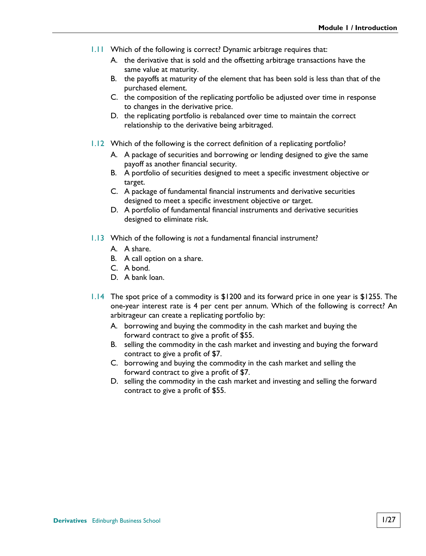- 1.11 Which of the following is correct? Dynamic arbitrage requires that:
	- A. the derivative that is sold and the offsetting arbitrage transactions have the same value at maturity.
	- B. the payoffs at maturity of the element that has been sold is less than that of the purchased element.
	- C. the composition of the replicating portfolio be adjusted over time in response to changes in the derivative price.
	- D. the replicating portfolio is rebalanced over time to maintain the correct relationship to the derivative being arbitraged.
- 1.12 Which of the following is the correct definition of a replicating portfolio?
	- A. A package of securities and borrowing or lending designed to give the same payoff as another financial security.
	- B. A portfolio of securities designed to meet a specific investment objective or target.
	- C. A package of fundamental financial instruments and derivative securities designed to meet a specific investment objective or target.
	- D. A portfolio of fundamental financial instruments and derivative securities designed to eliminate risk.
- 1.13 Which of the following is *not* a fundamental financial instrument?
	- A. A share.
	- B. A call option on a share.
	- C. A bond.
	- D. A bank loan.
- 1.14 The spot price of a commodity is \$1200 and its forward price in one year is \$1255. The one-year interest rate is 4 per cent per annum. Which of the following is correct? An arbitrageur can create a replicating portfolio by:
	- A. borrowing and buying the commodity in the cash market and buying the forward contract to give a profit of \$55.
	- B. selling the commodity in the cash market and investing and buying the forward contract to give a profit of \$7.
	- C. borrowing and buying the commodity in the cash market and selling the forward contract to give a profit of \$7.
	- D. selling the commodity in the cash market and investing and selling the forward contract to give a profit of \$55.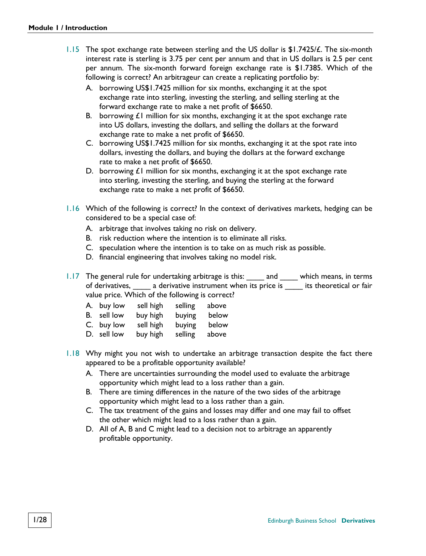- 1.15 The spot exchange rate between sterling and the US dollar is \$1.7425/£. The six-month interest rate is sterling is 3.75 per cent per annum and that in US dollars is 2.5 per cent per annum. The six-month forward foreign exchange rate is \$1.7385. Which of the following is correct? An arbitrageur can create a replicating portfolio by:
	- A. borrowing US\$1.7425 million for six months, exchanging it at the spot exchange rate into sterling, investing the sterling, and selling sterling at the forward exchange rate to make a net profit of \$6650.
	- B. borrowing  $E1$  million for six months, exchanging it at the spot exchange rate into US dollars, investing the dollars, and selling the dollars at the forward exchange rate to make a net profit of \$6650.
	- C. borrowing US\$1.7425 million for six months, exchanging it at the spot rate into dollars, investing the dollars, and buying the dollars at the forward exchange rate to make a net profit of \$6650.
	- D. borrowing  $E1$  million for six months, exchanging it at the spot exchange rate into sterling, investing the sterling, and buying the sterling at the forward exchange rate to make a net profit of \$6650.
- 1.16 Which of the following is correct? In the context of derivatives markets, hedging can be considered to be a special case of:
	- A. arbitrage that involves taking no risk on delivery.
	- B. risk reduction where the intention is to eliminate all risks.
	- C. speculation where the intention is to take on as much risk as possible.
	- D. financial engineering that involves taking no model risk.
- 1.17 The general rule for undertaking arbitrage is this: \_\_\_\_ and \_\_\_\_ which means, in terms of derivatives, a derivative instrument when its price is its theoretical or fair value price. Which of the following is correct?

| A. buy low  | sell high | selling | above |
|-------------|-----------|---------|-------|
| B. sell low | buy high  | buying  | below |
| C. buy low  | sell high | buying  | below |
| D. sell low | buy high  | selling | above |

- 1.18 Why might you not wish to undertake an arbitrage transaction despite the fact there appeared to be a profitable opportunity available?
	- A. There are uncertainties surrounding the model used to evaluate the arbitrage opportunity which might lead to a loss rather than a gain.
	- B. There are timing differences in the nature of the two sides of the arbitrage opportunity which might lead to a loss rather than a gain.
	- C. The tax treatment of the gains and losses may differ and one may fail to offset the other which might lead to a loss rather than a gain.
	- D. All of A, B and C might lead to a decision not to arbitrage an apparently profitable opportunity.